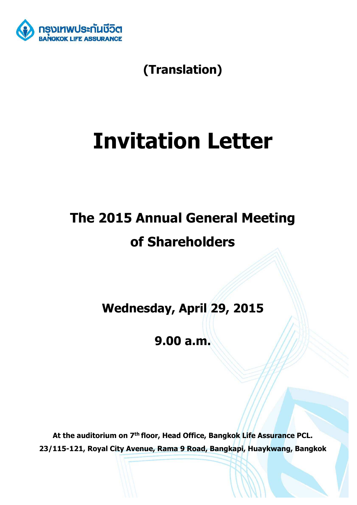

**(Translation)** 

# **Invitation Letter**

## **The 2015 Annual General Meeting of Shareholders**

**Wednesday, April 29, 2015** 

**9.00 a.m.** 

**At the auditorium on 7th floor, Head Office, Bangkok Life Assurance PCL. 23/115-121, Royal City Avenue, Rama 9 Road, Bangkapi, Huaykwang, Bangkok**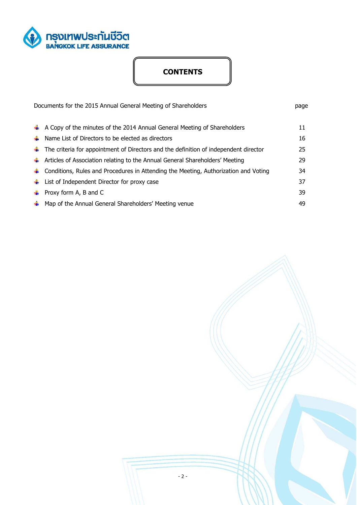

## **CONTENTS**

| Documents for the 2015 Annual General Meeting of Shareholders                                             |    |
|-----------------------------------------------------------------------------------------------------------|----|
| $\uparrow$ A Copy of the minutes of the 2014 Annual General Meeting of Shareholders                       | 11 |
| $\frac{1}{2}$ Name List of Directors to be elected as directors                                           | 16 |
| $\ddot{\phantom{A}}$ The criteria for appointment of Directors and the definition of independent director | 25 |
| $\ddag$ Articles of Association relating to the Annual General Shareholders' Meeting                      | 29 |
| $\ddag$ Conditions, Rules and Procedures in Attending the Meeting, Authorization and Voting               | 34 |
| $\downarrow$ List of Independent Director for proxy case                                                  | 37 |
| $\downarrow$ Proxy form A, B and C                                                                        | 39 |
| A Map of the Annual General Shareholders' Meeting venue                                                   | 49 |

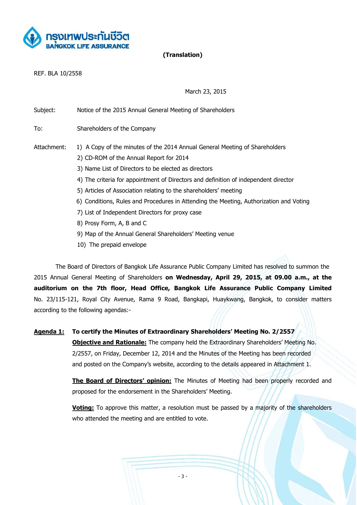

**(Translation)** 

REF. BLA 10/2558

March 23, 2015

| Subject:    | Notice of the 2015 Annual General Meeting of Shareholders                              |
|-------------|----------------------------------------------------------------------------------------|
| To:         | Shareholders of the Company                                                            |
| Attachment: | 1) A Copy of the minutes of the 2014 Annual General Meeting of Shareholders            |
|             | 2) CD-ROM of the Annual Report for 2014                                                |
|             | 3) Name List of Directors to be elected as directors                                   |
|             | 4) The criteria for appointment of Directors and definition of independent director    |
|             | 5) Articles of Association relating to the shareholders' meeting                       |
|             | 6) Conditions, Rules and Procedures in Attending the Meeting, Authorization and Voting |
|             | 7) List of Independent Directors for proxy case                                        |
|             | 8) Prosy Form, A, B and C                                                              |
|             | 9) Map of the Annual General Shareholders' Meeting venue                               |

10) The prepaid envelope

The Board of Directors of Bangkok Life Assurance Public Company Limited has resolved to summon the 2015 Annual General Meeting of Shareholders **on Wednesday, April 29, 2015, at 09.00 a.m., at the auditorium on the 7th floor, Head Office, Bangkok Life Assurance Public Company Limited**  No. 23/115-121, Royal City Avenue, Rama 9 Road, Bangkapi, Huaykwang, Bangkok, to consider matters according to the following agendas:-

**Agenda 1: To certify the Minutes of Extraordinary Shareholders' Meeting No. 2/2557 Objective and Rationale:** The company held the Extraordinary Shareholders' Meeting No. 2/2557, on Friday, December 12, 2014 and the Minutes of the Meeting has been recorded and posted on the Company's website, according to the details appeared in Attachment 1.

> **The Board of Directors' opinion:** The Minutes of Meeting had been properly recorded and proposed for the endorsement in the Shareholders' Meeting.

> **Voting:** To approve this matter, a resolution must be passed by a majority of the shareholders who attended the meeting and are entitled to vote.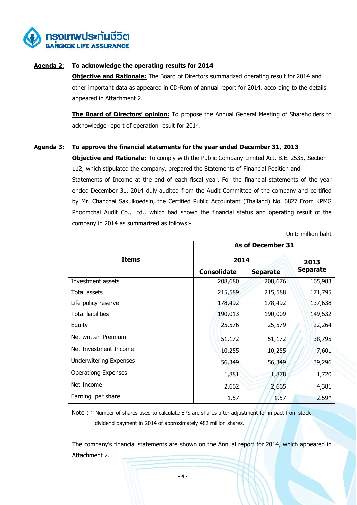

#### **Agenda 2**: **To acknowledge the operating results for 2014**

**Objective and Rationale:** The Board of Directors summarized operating result for 2014 and other important data as appeared in CD-Rom of annual report for 2014, according to the details appeared in Attachment 2.

**The Board of Directors' opinion:** To propose the Annual General Meeting of Shareholders to acknowledge report of operation result for 2014.

#### **Agenda 3: To approve the financial statements for the year ended December 31, 2013**

**Objective and Rationale:** To comply with the Public Company Limited Act, B.E. 2535, Section 112, which stipulated the company, prepared the Statements of Financial Position and Statements of Income at the end of each fiscal year. For the financial statements of the year ended December 31, 2014 duly audited from the Audit Committee of the company and certified by Mr. Chanchai Sakulkoedsin, the Certified Public Accountant (Thailand) No. 6827 From KPMG Phoomchai Audit Co., Ltd., which had shown the financial status and operating result of the company in 2014 as summarized as follows:-

Unit: million baht

|                               | As of December 31  |                 |                 |  |
|-------------------------------|--------------------|-----------------|-----------------|--|
| <b>Items</b>                  | 2014               | 2013            |                 |  |
|                               | <b>Consolidate</b> | <b>Separate</b> | <b>Separate</b> |  |
| Investment assets             | 208,680            | 208,676         | 165,983         |  |
| Total assets                  | 215,589            | 215,588         | 171,795         |  |
| Life policy reserve           | 178,492            | 178,492         | 137,638         |  |
| <b>Total liabilities</b>      | 190,013            | 190,009         | 149,532         |  |
| Equity                        | 25,576             | 25,579          | 22,264          |  |
| Net written Premium           | 51,172             | 51,172          | 38,795          |  |
| Net Investment Income         | 10,255             | 10,255          | 7,601           |  |
| <b>Underwitering Expenses</b> | 56,349             | 56,349          | 39,296          |  |
| <b>Operationg Expenses</b>    | 1,881              | 1,878           | 1,720           |  |
| Net Income                    | 2,662              | 2,665           | 4,381           |  |
| Earning per share             | 1.57               | 1.57            | $2.59*$         |  |

 Note : \* Number of shares used to calculate EPS are shares after adjustment for impact from stock dividend payment in 2014 of approximately 482 million shares.

The company's financial statements are shown on the Annual report for 2014, which appeared in Attachment 2.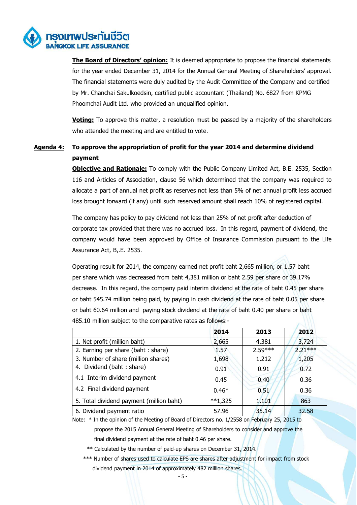

 **The Board of Directors' opinion:** It is deemed appropriate to propose the financial statements for the year ended December 31, 2014 for the Annual General Meeting of Shareholders' approval. The financial statements were duly audited by the Audit Committee of the Company and certified by Mr. Chanchai Sakulkoedsin, certified public accountant (Thailand) No. 6827 from KPMG Phoomchai Audit Ltd. who provided an unqualified opinion.

**Voting:** To approve this matter, a resolution must be passed by a majority of the shareholders who attended the meeting and are entitled to vote.

## **Agenda 4: To approve the appropriation of profit for the year 2014 and determine dividend payment**

**Objective and Rationale:** To comply with the Public Company Limited Act, B.E. 2535, Section 116 and Articles of Association, clause 56 which determined that the company was required to allocate a part of annual net profit as reserves not less than 5% of net annual profit less accrued loss brought forward (if any) until such reserved amount shall reach 10% of registered capital.

The company has policy to pay dividend not less than 25% of net profit after deduction of corporate tax provided that there was no accrued loss. In this regard, payment of dividend, the company would have been approved by Office of Insurance Commission pursuant to the Life Assurance Act, B,.E. 2535.

Operating result for 2014, the company earned net profit baht 2,665 million, or 1.57 baht per share which was decreased from baht 4,381 million or baht 2.59 per share or 39.17% decrease. In this regard, the company paid interim dividend at the rate of baht 0.45 per share or baht 545.74 million being paid, by paying in cash dividend at the rate of baht 0.05 per share or baht 60.64 million and paying stock dividend at the rate of baht 0.40 per share or baht 485.10 million subject to the comparative rates as follows:-

|                                          | 2014      | 2013      | 2012      |
|------------------------------------------|-----------|-----------|-----------|
| 1. Net profit (million baht)             | 2,665     | 4,381     | 3,724     |
| 2. Earning per share (baht : share)      | 1.57      | $2.59***$ | $2.21***$ |
| 3. Number of share (million shares)      | 1,698     | 1,212     | 1,205     |
| 4. Dividend (baht: share)                | 0.91      | 0.91      | 0.72      |
| 4.1 Interim dividend payment             | 0.45      | 0.40      | 0.36      |
| 4.2 Final dividend payment               | $0.46*$   | 0.51      | 0.36      |
| 5. Total dividend payment (million baht) | $**1,325$ | 1,101     | 863       |
| 6. Dividend payment ratio                | 57.96     | 35.14     | 32.58     |

Note: \* In the opinion of the Meeting of Board of Directors no. 1/2558 on February 25, 2015 to propose the 2015 Annual General Meeting of Shareholders to consider and approve the final dividend payment at the rate of baht 0.46 per share.

\*\* Calculated by the number of paid-up shares on December 31, 2014.

 \*\*\* Number of shares used to calculate EPS are shares after adjustment for impact from stock dividend payment in 2014 of approximately 482 million shares.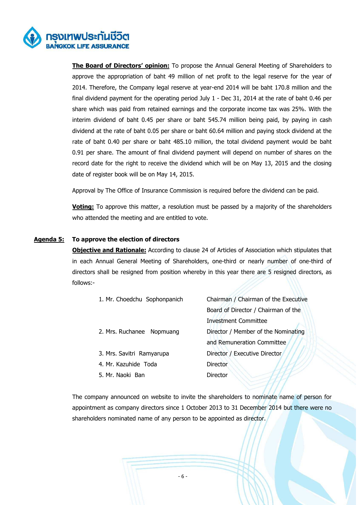

**The Board of Directors' opinion:** To propose the Annual General Meeting of Shareholders to approve the appropriation of baht 49 million of net profit to the legal reserve for the year of 2014. Therefore, the Company legal reserve at year-end 2014 will be baht 170.8 million and the final dividend payment for the operating period July 1 - Dec 31, 2014 at the rate of baht 0.46 per share which was paid from retained earnings and the corporate income tax was 25%. With the interim dividend of baht 0.45 per share or baht 545.74 million being paid, by paying in cash dividend at the rate of baht 0.05 per share or baht 60.64 million and paying stock dividend at the rate of baht 0.40 per share or baht 485.10 million, the total dividend payment would be baht 0.91 per share. The amount of final dividend payment will depend on number of shares on the record date for the right to receive the dividend which will be on May 13, 2015 and the closing date of register book will be on May 14, 2015.

Approval by The Office of Insurance Commission is required before the dividend can be paid.

**Voting:** To approve this matter, a resolution must be passed by a majority of the shareholders who attended the meeting and are entitled to vote.

#### **Agenda 5: To approve the election of directors**

**Objective and Rationale:** According to clause 24 of Articles of Association which stipulates that in each Annual General Meeting of Shareholders, one-third or nearly number of one-third of directors shall be resigned from position whereby in this year there are 5 resigned directors, as follows:-

| 1. Mr. Choedchu Sophonpanich | Chairman / Chairman of the Executive |
|------------------------------|--------------------------------------|
|                              | Board of Director / Chairman of the  |
|                              | <b>Investment Committee</b>          |
| 2. Mrs. Ruchanee Nopmuang    | Director / Member of the Nominating  |
|                              | and Remuneration Committee           |
| 3. Mrs. Savitri Ramyarupa    | Director / Executive Director        |
| 4. Mr. Kazuhide Toda         | <b>Director</b>                      |
| 5. Mr. Naoki Ban             | <b>Director</b>                      |
|                              |                                      |

The company announced on website to invite the shareholders to nominate name of person for appointment as company directors since 1 October 2013 to 31 December 2014 but there were no shareholders nominated name of any person to be appointed as director.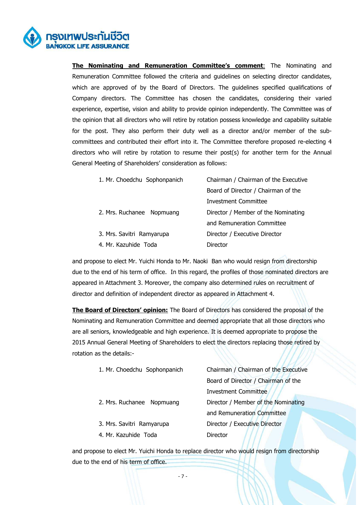

**The Nominating and Remuneration Committee's comment**: The Nominating and Remuneration Committee followed the criteria and guidelines on selecting director candidates, which are approved of by the Board of Directors. The guidelines specified qualifications of Company directors. The Committee has chosen the candidates, considering their varied experience, expertise, vision and ability to provide opinion independently. The Committee was of the opinion that all directors who will retire by rotation possess knowledge and capability suitable for the post. They also perform their duty well as a director and/or member of the subcommittees and contributed their effort into it. The Committee therefore proposed re-electing 4 directors who will retire by rotation to resume their post(s) for another term for the Annual General Meeting of Shareholders' consideration as follows:

| 1. Mr. Choedchu Sophonpanich | Chairman / Chairman of the Executive |
|------------------------------|--------------------------------------|
|                              | Board of Director / Chairman of the  |
|                              | <b>Investment Committee</b>          |
| 2. Mrs. Ruchanee Nopmuang    | Director / Member of the Nominating  |
|                              | and Remuneration Committee           |
| 3. Mrs. Savitri Ramyarupa    | Director / Executive Director        |
| 4. Mr. Kazuhide Toda         | Director                             |

 and propose to elect Mr. Yuichi Honda to Mr. Naoki Ban who would resign from directorship due to the end of his term of office. In this regard, the profiles of those nominated directors are appeared in Attachment 3. Moreover, the company also determined rules on recruitment of director and definition of independent director as appeared in Attachment 4.

 **The Board of Directors' opinion:** The Board of Directors has considered the proposal of the Nominating and Remuneration Committee and deemed appropriate that all those directors who are all seniors, knowledgeable and high experience. It is deemed appropriate to propose the 2015 Annual General Meeting of Shareholders to elect the directors replacing those retired by rotation as the details:-

| Board of Director / Chairman of the<br><b>Investment Committee</b><br>Director / Member of the Nominating<br>2. Mrs. Ruchanee Nopmuang<br>and Remuneration Committee<br>Director / Executive Director<br>3. Mrs. Savitri Ramyarupa<br>4. Mr. Kazuhide Toda<br>Director | 1. Mr. Choedchu Sophonpanich | Chairman / Chairman of the Executive |
|------------------------------------------------------------------------------------------------------------------------------------------------------------------------------------------------------------------------------------------------------------------------|------------------------------|--------------------------------------|
|                                                                                                                                                                                                                                                                        |                              |                                      |
|                                                                                                                                                                                                                                                                        |                              |                                      |
|                                                                                                                                                                                                                                                                        |                              |                                      |
|                                                                                                                                                                                                                                                                        |                              |                                      |
|                                                                                                                                                                                                                                                                        |                              |                                      |
|                                                                                                                                                                                                                                                                        |                              |                                      |

 and propose to elect Mr. Yuichi Honda to replace director who would resign from directorship due to the end of his term of office.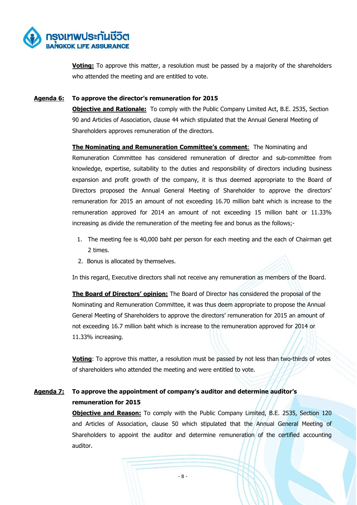

**Voting:** To approve this matter, a resolution must be passed by a majority of the shareholders who attended the meeting and are entitled to vote.

#### **Agenda 6: To approve the director's remuneration for 2015**

**Objective and Rationale:** To comply with the Public Company Limited Act, B.E. 2535, Section 90 and Articles of Association, clause 44 which stipulated that the Annual General Meeting of Shareholders approves remuneration of the directors.

**The Nominating and Remuneration Committee's comment:** The Nominating and Remuneration Committee has considered remuneration of director and sub-committee from knowledge, expertise, suitability to the duties and responsibility of directors including business expansion and profit growth of the company, it is thus deemed appropriate to the Board of Directors proposed the Annual General Meeting of Shareholder to approve the directors' remuneration for 2015 an amount of not exceeding 16.70 million baht which is increase to the remuneration approved for 2014 an amount of not exceeding 15 million baht or 11.33% increasing as divide the remuneration of the meeting fee and bonus as the follows;-

- 1. The meeting fee is 40,000 baht per person for each meeting and the each of Chairman get 2 times.
- 2. Bonus is allocated by themselves.

In this regard, Executive directors shall not receive any remuneration as members of the Board.

 **The Board of Directors' opinion:** The Board of Director has considered the proposal of the Nominating and Remuneration Committee, it was thus deem appropriate to propose the Annual General Meeting of Shareholders to approve the directors' remuneration for 2015 an amount of not exceeding 16.7 million baht which is increase to the remuneration approved for 2014 or 11.33% increasing.

**Voting**: To approve this matter, a resolution must be passed by not less than two-thirds of votes of shareholders who attended the meeting and were entitled to vote.

## **Agenda 7: To approve the appointment of company's auditor and determine auditor's remuneration for 2015**

**Objective and Reason:** To comply with the Public Company Limited, B.E. 2535, Section 120 and Articles of Association, clause 50 which stipulated that the Annual General Meeting of Shareholders to appoint the auditor and determine remuneration of the certified accounting auditor.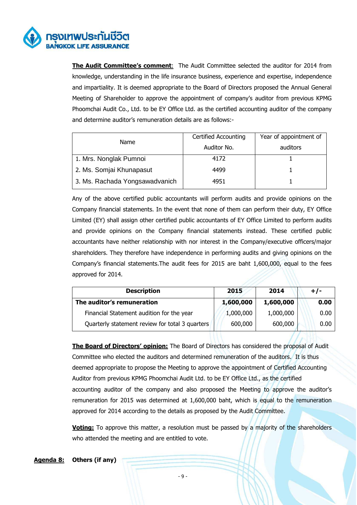

**The Audit Committee's comment**: The Audit Committee selected the auditor for 2014 from knowledge, understanding in the life insurance business, experience and expertise, independence and impartiality. It is deemed appropriate to the Board of Directors proposed the Annual General Meeting of Shareholder to approve the appointment of company's auditor from previous KPMG Phoomchai Audit Co., Ltd. to be EY Office Ltd. as the certified accounting auditor of the company and determine auditor's remuneration details are as follows:-

| Name                           | <b>Certified Accounting</b> | Year of appointment of |
|--------------------------------|-----------------------------|------------------------|
|                                | Auditor No.                 | auditors               |
| 1. Mrs. Nonglak Pumnoi         | 4172                        |                        |
| 2. Ms. Somjai Khunapasut       | 4499                        |                        |
| 3. Ms. Rachada Yongsawadvanich | 4951                        |                        |

Any of the above certified public accountants will perform audits and provide opinions on the Company financial statements. In the event that none of them can perform their duty, EY Office Limited (EY) shall assign other certified public accountants of EY Office Limited to perform audits and provide opinions on the Company financial statements instead. These certified public accountants have neither relationship with nor interest in the Company/executive officers/major shareholders. They therefore have independence in performing audits and giving opinions on the Company's financial statements.The audit fees for 2015 are baht 1,600,000, equal to the fees approved for 2014.

| <b>Description</b>                              | 2015      | 2014      | $+/-$ |
|-------------------------------------------------|-----------|-----------|-------|
| The auditor's remuneration                      | 1,600,000 | 1,600,000 | 0.00  |
| Financial Statement audition for the year       | 1,000,000 | 1,000,000 | 0.00  |
| Quarterly statement review for total 3 quarters | 600,000   | 600,000   | 0.00  |

 **The Board of Directors' opinion:** The Board of Directors has considered the proposal of Audit Committee who elected the auditors and determined remuneration of the auditors. It is thus deemed appropriate to propose the Meeting to approve the appointment of Certified Accounting Auditor from previous KPMG Phoomchai Audit Ltd. to be EY Office Ltd., as the certified accounting auditor of the company and also proposed the Meeting to approve the auditor's remuneration for 2015 was determined at 1,600,000 baht, which is equal to the remuneration approved for 2014 according to the details as proposed by the Audit Committee.

**Voting:** To approve this matter, a resolution must be passed by a majority of the shareholders who attended the meeting and are entitled to vote.

#### **Agenda 8: Others (if any)**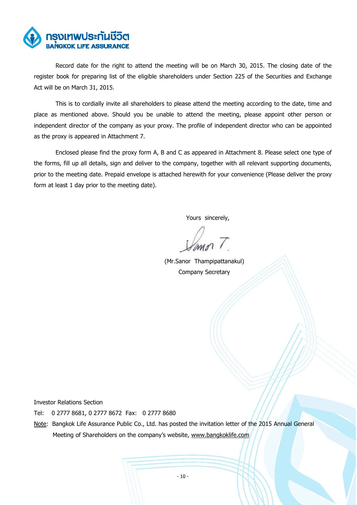

Record date for the right to attend the meeting will be on March 30, 2015. The closing date of the register book for preparing list of the eligible shareholders under Section 225 of the Securities and Exchange Act will be on March 31, 2015.

This is to cordially invite all shareholders to please attend the meeting according to the date, time and place as mentioned above. Should you be unable to attend the meeting, please appoint other person or independent director of the company as your proxy. The profile of independent director who can be appointed as the proxy is appeared in Attachment 7.

 Enclosed please find the proxy form A, B and C as appeared in Attachment 8. Please select one type of the forms, fill up all details, sign and deliver to the company, together with all relevant supporting documents, prior to the meeting date. Prepaid envelope is attached herewith for your convenience (Please deliver the proxy form at least 1 day prior to the meeting date).

Yours sincerely,

 (Mr.Sanor Thampipattanakul) Company Secretary

Investor Relations Section

Tel: 0 2777 8681, 0 2777 8672 Fax: 0 2777 8680

Note: Bangkok Life Assurance Public Co., Ltd. has posted the invitation letter of the 2015 Annual General Meeting of Shareholders on the company's website, www.bangkoklife.com/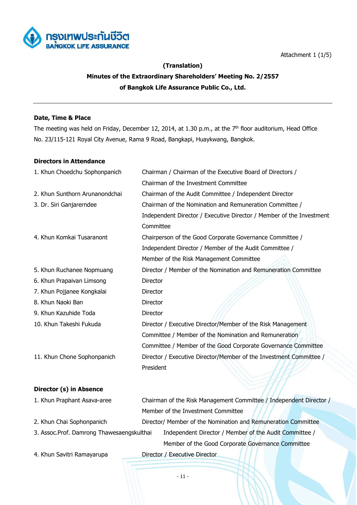

11/1



#### **(Translation)**

## **Minutes of the Extraordinary Shareholders' Meeting No. 2/2557 of Bangkok Life Assurance Public Co., Ltd.**

#### **Date, Time & Place**

The meeting was held on Friday, December 12, 2014, at 1.30 p.m., at the 7<sup>th</sup> floor auditorium, Head Office No. 23/115-121 Royal City Avenue, Rama 9 Road, Bangkapi, Huaykwang, Bangkok.

#### **Directors in Attendance**

| 1. Khun Choedchu Sophonpanich  | Chairman / Chairman of the Executive Board of Directors /            |
|--------------------------------|----------------------------------------------------------------------|
|                                | Chairman of the Investment Committee                                 |
| 2. Khun Sunthorn Arunanondchai | Chairman of the Audit Committee / Independent Director               |
| 3. Dr. Siri Ganjarerndee       | Chairman of the Nomination and Remuneration Committee /              |
|                                | Independent Director / Executive Director / Member of the Investment |
|                                | Committee                                                            |
| 4. Khun Komkai Tusaranont      | Chairperson of the Good Corporate Governance Committee /             |
|                                | Independent Director / Member of the Audit Committee /               |
|                                | Member of the Risk Management Committee                              |
| 5. Khun Ruchanee Nopmuang      | Director / Member of the Nomination and Remuneration Committee       |
| 6. Khun Prapaivan Limsong      | <b>Director</b>                                                      |
| 7. Khun Pojjanee Kongkalai     | Director                                                             |
| 8. Khun Naoki Ban              | <b>Director</b>                                                      |
| 9. Khun Kazuhide Toda          | Director                                                             |
| 10. Khun Takeshi Fukuda        | Director / Executive Director/Member of the Risk Management          |
|                                | Committee / Member of the Nomination and Remuneration                |
|                                | Committee / Member of the Good Corporate Governance Committee        |
| 11. Khun Chone Sophonpanich    | Director / Executive Director/Member of the Investment Committee /   |
|                                | President                                                            |

#### **Director (s) in Absence**

| 1. Khun Praphant Asava-aree               | Chairman of the Risk Management Committee / Independent Director / |
|-------------------------------------------|--------------------------------------------------------------------|
|                                           | Member of the Investment Committee                                 |
| 2. Khun Chai Sophonpanich                 | Director/ Member of the Nomination and Remuneration Committee      |
| 3. Assoc.Prof. Damrong Thawesaengskulthai | Independent Director / Member of the Audit Committee /             |
|                                           | Member of the Good Corporate Governance Committee                  |
|                                           |                                                                    |

4. Khun Savitri Ramayarupa Director / Executive Director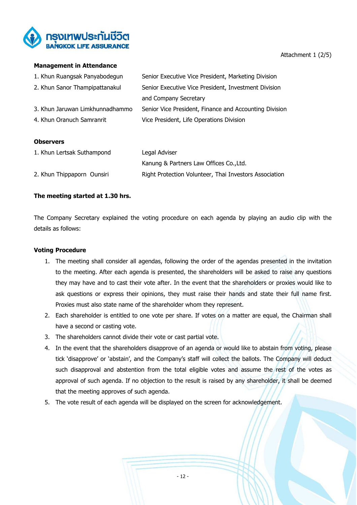

#### Attachment 1 (2/5)

#### **Management in Attendance**

| 1. Khun Ruangsak Panyabodegun   | Senior Executive Vice President, Marketing Division    |
|---------------------------------|--------------------------------------------------------|
| 2. Khun Sanor Thampipattanakul  | Senior Executive Vice President, Investment Division   |
|                                 | and Company Secretary                                  |
| 3. Khun Jaruwan Limkhunnadhammo | Senior Vice President, Finance and Accounting Division |
| 4. Khun Oranuch Samranrit       | Vice President, Life Operations Division               |

#### **Observers**

| 1. Khun Lertsak Suthampond | Legal Adviser                                          |
|----------------------------|--------------------------------------------------------|
|                            | Kanung & Partners Law Offices Co., Ltd.                |
| 2. Khun Thippaporn Ounsiri | Right Protection Volunteer, Thai Investors Association |

#### **The meeting started at 1.30 hrs.**

The Company Secretary explained the voting procedure on each agenda by playing an audio clip with the details as follows:

#### **Voting Procedure**

- 1. The meeting shall consider all agendas, following the order of the agendas presented in the invitation to the meeting. After each agenda is presented, the shareholders will be asked to raise any questions they may have and to cast their vote after. In the event that the shareholders or proxies would like to ask questions or express their opinions, they must raise their hands and state their full name first. Proxies must also state name of the shareholder whom they represent.
- 2. Each shareholder is entitled to one vote per share. If votes on a matter are equal, the Chairman shall have a second or casting vote.
- 3. The shareholders cannot divide their vote or cast partial vote.
- 4. In the event that the shareholders disapprove of an agenda or would like to abstain from voting, please tick 'disapprove' or 'abstain', and the Company's staff will collect the ballots. The Company will deduct such disapproval and abstention from the total eligible votes and assume the rest of the votes as approval of such agenda. If no objection to the result is raised by any shareholder, it shall be deemed that the meeting approves of such agenda.
- 5. The vote result of each agenda will be displayed on the screen for acknowledgement.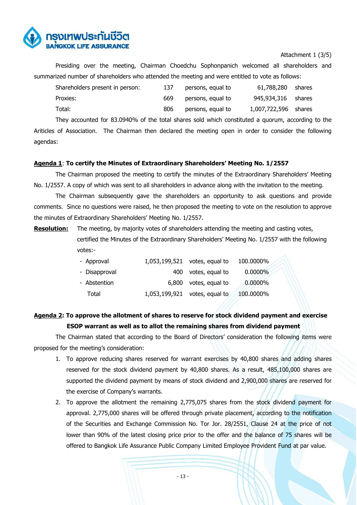

#### Attachment 1 (3/5)

Presiding over the meeting, Chairman Choedchu Sophonpanich welcomed all shareholders and summarized number of shareholders who attended the meeting and were entitled to vote as follows:

| Shareholders present in person: | 137 | persons, equal to | 61,788,280 shares    |  |
|---------------------------------|-----|-------------------|----------------------|--|
| Proxies:                        | 669 | persons, equal to | 945,934,316 shares   |  |
| Total:                          | 806 | persons, equal to | 1,007,722,596 shares |  |

They accounted for 83.0940% of the total shares sold which constituted a quorum, according to the Ariticles of Association. The Chairman then declared the meeting open in order to consider the following agendas:

#### **Agenda 1**: **To certify the Minutes of Extraordinary Shareholders' Meeting No. 1/2557**

The Chairman proposed the meeting to certify the minutes of the Extraordinary Shareholders' Meeting No. 1/2557. A copy of which was sent to all shareholders in advance along with the invitation to the meeting.

The Chairman subsequently gave the shareholders an opportunity to ask questions and provide comments. Since no questions were raised, he then proposed the meeting to vote on the resolution to approve the minutes of Extraordinary Shareholders' Meeting No. 1/2557.

**Resolution:** The meeting, by majority votes of shareholders attending the meeting and casting votes, certified the Minutes of the Extraordinary Shareholders' Meeting No. 1/2557 with the following votes:-

| - Approval    |       | 1,053,199,521 votes, equal to | 100.0000%  |  |
|---------------|-------|-------------------------------|------------|--|
| - Disapproval | 400   | votes, equal to               | $0.0000\%$ |  |
| - Abstention  | 6,800 | votes, equal to               | 0.0000%    |  |
| Total         |       | 1,053,199,921 votes, equal to | 100.0000%  |  |

## **Agenda 2: To approve the allotment of shares to reserve for stock dividend payment and exercise ESOP warrant as well as to allot the remaining shares from dividend payment**

The Chairman stated that according to the Board of Directors' consideration the following items were proposed for the meeting's consideration:

- 1. To approve reducing shares reserved for warrant exercises by 40,800 shares and adding shares reserved for the stock dividend payment by 40,800 shares. As a result, 485,100,000 shares are supported the dividend payment by means of stock dividend and 2,900,000 shares are reserved for the exercise of Company's warrants.
- 2. To approve the allotment the remaining 2,775,075 shares from the stock dividend payment for approval. 2,775,000 shares will be offered through private placement, according to the notification of the Securities and Exchange Commission No. Tor Jor. 28/2551, Clause 24 at the price of not lower than 90% of the latest closing price prior to the offer and the balance of 75 shares will be offered to Bangkok Life Assurance Public Company Limited Employee Provident Fund at par value.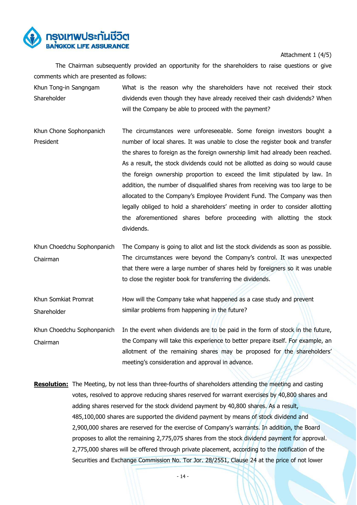

Attachment 1 (4/5)

The Chairman subsequently provided an opportunity for the shareholders to raise questions or give comments which are presented as follows:

- Khun Tong-in Sangngam Shareholder What is the reason why the shareholders have not received their stock dividends even though they have already received their cash dividends? When will the Company be able to proceed with the payment?
- Khun Chone Sophonpanich President The circumstances were unforeseeable. Some foreign investors bought a number of local shares. It was unable to close the register book and transfer the shares to foreign as the foreign ownership limit had already been reached. As a result, the stock dividends could not be allotted as doing so would cause the foreign ownership proportion to exceed the limit stipulated by law. In addition, the number of disqualified shares from receiving was too large to be allocated to the Company's Employee Provident Fund. The Company was then legally obliged to hold a shareholders' meeting in order to consider allotting the aforementioned shares before proceeding with allotting the stock dividends.
- Khun Choedchu Sophonpanich Chairman The Company is going to allot and list the stock dividends as soon as possible. The circumstances were beyond the Company's control. It was unexpected that there were a large number of shares held by foreigners so it was unable to close the register book for transferring the dividends.
- Khun Somkiat Promrat Shareholder How will the Company take what happened as a case study and prevent similar problems from happening in the future?
- Khun Choedchu Sophonpanich Chairman In the event when dividends are to be paid in the form of stock in the future, the Company will take this experience to better prepare itself. For example, an allotment of the remaining shares may be proposed for the shareholders' meeting's consideration and approval in advance.
- **Resolution:** The Meeting, by not less than three-fourths of shareholders attending the meeting and casting votes, resolved to approve reducing shares reserved for warrant exercises by 40,800 shares and adding shares reserved for the stock dividend payment by 40,800 shares. As a result, 485,100,000 shares are supported the dividend payment by means of stock dividend and 2,900,000 shares are reserved for the exercise of Company's warrants. In addition, the Board proposes to allot the remaining 2,775,075 shares from the stock dividend payment for approval. 2,775,000 shares will be offered through private placement, according to the notification of the Securities and Exchange Commission No. Tor Jor. 28/2551, Clause 24 at the price of not lower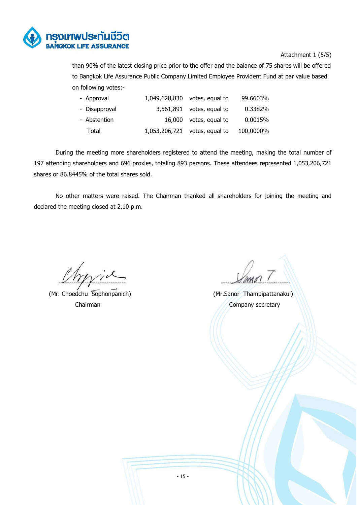

#### Attachment 1 (5/5)

than 90% of the latest closing price prior to the offer and the balance of 75 shares will be offered to Bangkok Life Assurance Public Company Limited Employee Provident Fund at par value based on following votes:-

| - Approval    | 1,049,628,830 votes, equal to | 99.6603%  |
|---------------|-------------------------------|-----------|
| - Disapproval | $3,561,891$ votes, equal to   | 0.3382%   |
| - Abstention  | 16,000 votes, equal to        | 0.0015%   |
| Total         | 1,053,206,721 votes, equal to | 100.0000% |

During the meeting more shareholders registered to attend the meeting, making the total number of 197 attending shareholders and 696 proxies, totaling 893 persons. These attendees represented 1,053,206,721 shares or 86.8445% of the total shares sold.

No other matters were raised. The Chairman thanked all shareholders for joining the meeting and declared the meeting closed at 2.10 p.m.

(Mr. Choedchu Sophonpanich) (Mr.Sanor Thampipattanakul)

------------------------------- --------------------------------

Chairman Chairman Chairman Chairman Chairman Chairman Chairman Chairman Chairman Chairman Chairman Chairman Chairman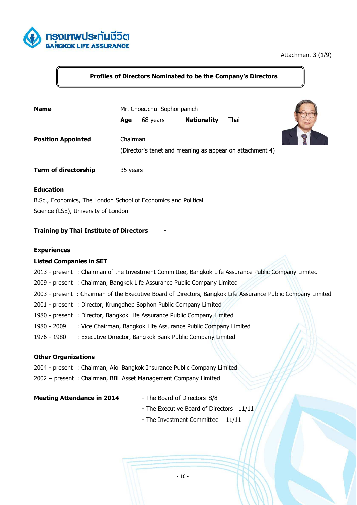

#### Attachment 3 (1/9)

### **Profiles of Directors Nominated to be the Company's Directors**

| <b>Name</b>                 | Mr. Choedchu Sophonpanich |          |                    |                                                          |  |
|-----------------------------|---------------------------|----------|--------------------|----------------------------------------------------------|--|
|                             | Age                       | 68 years | <b>Nationality</b> | Thai                                                     |  |
| <b>Position Appointed</b>   | Chairman                  |          |                    |                                                          |  |
|                             |                           |          |                    | (Director's tenet and meaning as appear on attachment 4) |  |
| <b>Term of directorship</b> | 35 years                  |          |                    |                                                          |  |

#### **Education**

B.Sc., Economics, The London School of Economics and Political Science (LSE), University of London

#### **Training by Thai Institute of Directors -**

#### **Experiences**

#### **Listed Companies in SET**

- 2013 present : Chairman of the Investment Committee, Bangkok Life Assurance Public Company Limited
- 2009 present : Chairman, Bangkok Life Assurance Public Company Limited
- 2003 present : Chairman of the Executive Board of Directors, Bangkok Life Assurance Public Company Limited
- 2001 present : Director, Krungdhep Sophon Public Company Limited
- 1980 present : Director, Bangkok Life Assurance Public Company Limited
- 1980 2009 : Vice Chairman, Bangkok Life Assurance Public Company Limited
- 1976 1980 : Executive Director, Bangkok Bank Public Company Limited

#### **Other Organizations**

- 2004 present : Chairman, Aioi Bangkok Insurance Public Company Limited
- 2002 present : Chairman, BBL Asset Management Company Limited

#### **Meeting Attendance in 2014** - The Board of Directors 8/8

- 
- The Executive Board of Directors 11/11
- The Investment Committee 11/11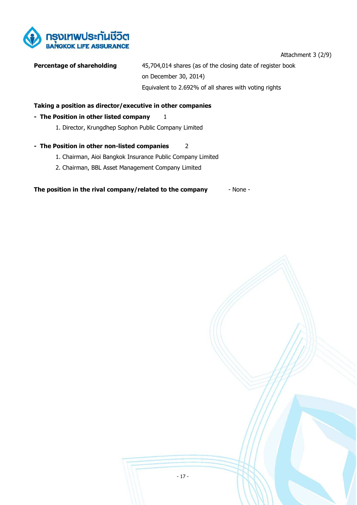

#### Attachment 3 (2/9)

**Percentage of shareholding** 45,704,014 shares (as of the closing date of register book on December 30, 2014) Equivalent to 2.692% of all shares with voting rights

#### **Taking a position as director/executive in other companies**

#### **- The Position in other listed company** 1

1. Director, Krungdhep Sophon Public Company Limited

#### **- The Position in other non-listed companies** 2

- 1. Chairman, Aioi Bangkok Insurance Public Company Limited
- 2. Chairman, BBL Asset Management Company Limited

**The position in the rival company/related to the company** - None -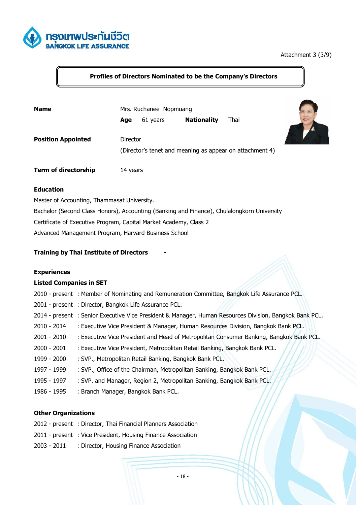

#### Attachment 3 (3/9)

## **Profiles of Directors Nominated to be the Company's Directors**

| <b>Name</b>                 | Mrs. Ruchanee Nopmuang |          |                    |                                                          |  |
|-----------------------------|------------------------|----------|--------------------|----------------------------------------------------------|--|
|                             | Age                    | 61 years | <b>Nationality</b> | Thai                                                     |  |
| <b>Position Appointed</b>   | Director               |          |                    | (Director's tenet and meaning as appear on attachment 4) |  |
| <b>Term of directorship</b> | 14 years               |          |                    |                                                          |  |

#### **Education**

Master of Accounting, Thammasat University. Bachelor (Second Class Honors), Accounting (Banking and Finance), Chulalongkorn University Certificate of Executive Program, Capital Market Academy, Class 2 Advanced Management Program, Harvard Business School

#### **Training by Thai Institute of Directors -**

#### **Experiences**

#### **Listed Companies in SET**

|               | 2010 - present : Member of Nominating and Remuneration Committee, Bangkok Life Assurance PCL.           |
|---------------|---------------------------------------------------------------------------------------------------------|
|               | 2001 - present : Director, Bangkok Life Assurance PCL.                                                  |
|               | 2014 - present : Senior Executive Vice President & Manager, Human Resources Division, Bangkok Bank PCL. |
| 2010 - 2014   | : Executive Vice President & Manager, Human Resources Division, Bangkok Bank PCL.                       |
| 2001 - 2010   | : Executive Vice President and Head of Metropolitan Consumer Banking, Bangkok Bank PCL.                 |
| $2000 - 2001$ | : Executive Vice President, Metropolitan Retail Banking, Bangkok Bank PCL.                              |
| 1999 - 2000   | : SVP., Metropolitan Retail Banking, Bangkok Bank PCL.                                                  |
| 1997 - 1999   | : SVP., Office of the Chairman, Metropolitan Banking, Bangkok Bank PCL.                                 |
| 1995 - 1997   | : SVP. and Manager, Region 2, Metropolitan Banking, Bangkok Bank PCL.                                   |
| 1986 - 1995   | : Branch Manager, Bangkok Bank PCL.                                                                     |

#### **Other Organizations**

- 2012 present : Director, Thai Financial Planners Association
- 2011 present : Vice President, Housing Finance Association
- 2003 2011 : Director, Housing Finance Association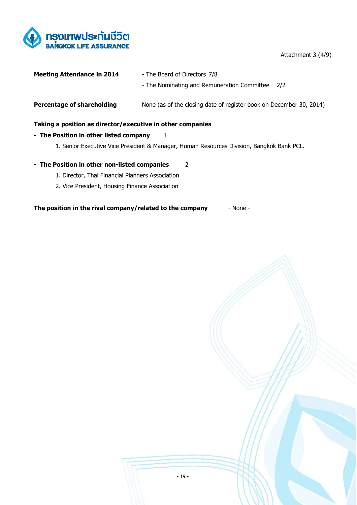

Attachment 3 (4/9)

| <b>Meeting Attendance in 2014</b>                          | - The Board of Directors 7/8                                                              |
|------------------------------------------------------------|-------------------------------------------------------------------------------------------|
|                                                            | - The Nominating and Remuneration Committee<br>2/2                                        |
| Percentage of shareholding                                 | None (as of the closing date of register book on December 30, 2014)                       |
| Taking a position as director/executive in other companies |                                                                                           |
| - The Position in other listed company                     | 1                                                                                         |
|                                                            | 1. Senior Executive Vice President & Manager, Human Resources Division, Bangkok Bank PCL. |
| - The Position in other non-listed companies               | 2                                                                                         |
| 1. Director, Thai Financial Planners Association           |                                                                                           |
| 2. Vice President, Housing Finance Association             |                                                                                           |

**The position in the rival company/related to the company** - None -

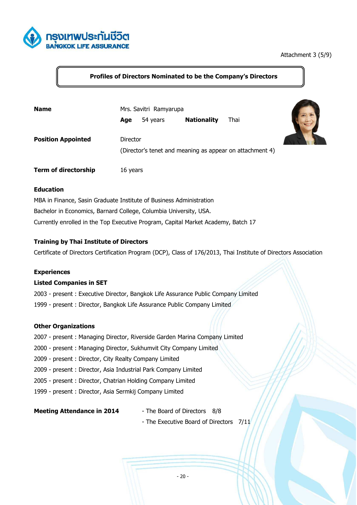

#### Attachment 3 (5/9)

## **Profiles of Directors Nominated to be the Company's Directors**

| <b>Name</b>                 | Mrs. Savitri Ramyarupa |          |                    |                                                          |  |
|-----------------------------|------------------------|----------|--------------------|----------------------------------------------------------|--|
|                             | Age                    | 54 years | <b>Nationality</b> | Thai                                                     |  |
| <b>Position Appointed</b>   | Director               |          |                    | (Director's tenet and meaning as appear on attachment 4) |  |
| <b>Term of directorship</b> | 16 years               |          |                    |                                                          |  |

#### **Education**

MBA in Finance, Sasin Graduate Institute of Business Administration Bachelor in Economics, Barnard College, Columbia University, USA. Currently enrolled in the Top Executive Program, Capital Market Academy, Batch 17

#### **Training by Thai Institute of Directors**

Certificate of Directors Certification Program (DCP), Class of 176/2013, Thai Institute of Directors Association

#### **Experiences**

#### **Listed Companies in SET**

- 2003 present : Executive Director, Bangkok Life Assurance Public Company Limited
- 1999 present : Director, Bangkok Life Assurance Public Company Limited

#### **Other Organizations**

- 2007 present : Managing Director, Riverside Garden Marina Company Limited
- 2000 present : Managing Director, Sukhumvit City Company Limited
- 2009 present : Director, City Realty Company Limited
- 2009 present : Director, Asia Industrial Park Company Limited
- 2005 present : Director, Chatrian Holding Company Limited
- 1999 present : Director, Asia Sermkij Company Limited

**Meeting Attendance in 2014** - The Board of Directors 8/8

- 
- The Executive Board of Directors 7/11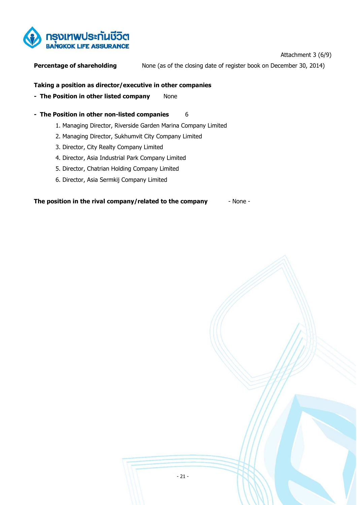

Attachment 3 (6/9)

**Percentage of shareholding** None (as of the closing date of register book on December 30, 2014)

#### **Taking a position as director/executive in other companies**

- **The Position in other listed company** None
- **The Position in other non-listed companies** 6
	- 1. Managing Director, Riverside Garden Marina Company Limited
	- 2. Managing Director, Sukhumvit City Company Limited
	- 3. Director, City Realty Company Limited
	- 4. Director, Asia Industrial Park Company Limited
	- 5. Director, Chatrian Holding Company Limited
	- 6. Director, Asia Sermkij Company Limited

**The position in the rival company/related to the company** - None -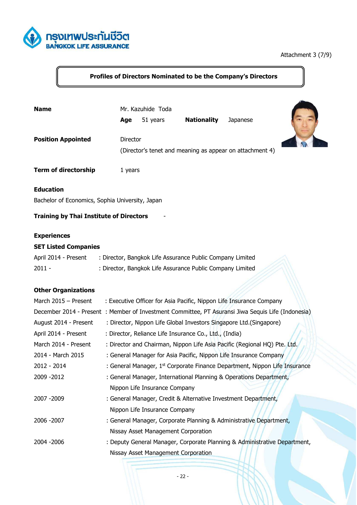

## Attachment 3 (7/9)

## **Profiles of Directors Nominated to be the Company's Directors**

| <b>Name</b>                                                         | Age      | Mr. Kazuhide Toda<br>51 years | <b>Nationality</b> | Japanese                                                 |  |
|---------------------------------------------------------------------|----------|-------------------------------|--------------------|----------------------------------------------------------|--|
| <b>Position Appointed</b>                                           | Director |                               |                    | (Director's tenet and meaning as appear on attachment 4) |  |
| <b>Term of directorship</b>                                         | 1 years  |                               |                    |                                                          |  |
| <b>Education</b><br>Bachelor of Economics, Sophia University, Japan |          |                               |                    |                                                          |  |
| <b>Training by Thai Institute of Directors</b>                      |          |                               |                    |                                                          |  |
| <b>Experiences</b>                                                  |          |                               |                    |                                                          |  |
| <b>SET Listed Companies</b>                                         |          |                               |                    |                                                          |  |
|                                                                     |          |                               |                    |                                                          |  |

| April 2014 - Present | : Director, Bangkok Life Assurance Public Company Limited |  |
|----------------------|-----------------------------------------------------------|--|
| $2011 -$             | : Director, Bangkok Life Assurance Public Company Limited |  |

## **Other Organizations**

| March 2015 - Present  | : Executive Officer for Asia Pacific, Nippon Life Insurance Company                               |
|-----------------------|---------------------------------------------------------------------------------------------------|
|                       | December 2014 - Present: Member of Investment Committee, PT Asuransi Jiwa Sequis Life (Indonesia) |
| August 2014 - Present | : Director, Nippon Life Global Investors Singapore Ltd.(Singapore)                                |
| April 2014 - Present  | : Director, Reliance Life Insurance Co., Ltd., (India)                                            |
| March 2014 - Present  | : Director and Chairman, Nippon Life Asia Pacific (Regional HQ) Pte. Ltd.                         |
| 2014 - March 2015     | : General Manager for Asia Pacific, Nippon Life Insurance Company                                 |
| 2012 - 2014           | : General Manager, 1 <sup>st</sup> Corporate Finance Department, Nippon Life Insurance            |
| 2009 - 2012           | : General Manager, International Planning & Operations Department,                                |
|                       | Nippon Life Insurance Company                                                                     |
| 2007 - 2009           | : General Manager, Credit & Alternative Investment Department,                                    |
|                       | Nippon Life Insurance Company                                                                     |
| 2006 - 2007           | : General Manager, Corporate Planning & Administrative Department,                                |
|                       | Nissay Asset Management Corporation                                                               |
| 2004 - 2006           | : Deputy General Manager, Corporate Planning & Administrative Department,                         |
|                       | Nissay Asset Management Corporation                                                               |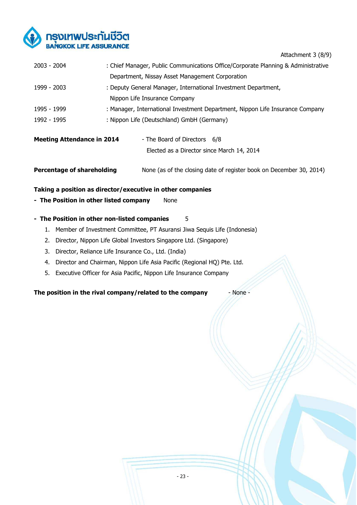

Attachment 3 (8/9)

| $2003 - 2004$                     | : Chief Manager, Public Communications Office/Corporate Planning & Administrative |
|-----------------------------------|-----------------------------------------------------------------------------------|
|                                   | Department, Nissay Asset Management Corporation                                   |
| 1999 - 2003                       | : Deputy General Manager, International Investment Department,                    |
|                                   | Nippon Life Insurance Company                                                     |
| 1995 - 1999                       | : Manager, International Investment Department, Nippon Life Insurance Company     |
| 1992 - 1995                       | : Nippon Life (Deutschland) GmbH (Germany)                                        |
|                                   |                                                                                   |
| <b>Meeting Attendance in 2014</b> | - The Board of Directors 6/8                                                      |
|                                   | Elected as a Director since March 14, 2014                                        |

**Percentage of shareholding** None (as of the closing date of register book on December 30, 2014)

#### **Taking a position as director/executive in other companies**

**- The Position in other listed company** None

#### **- The Position in other non-listed companies** 5

- 1. Member of Investment Committee, PT Asuransi Jiwa Sequis Life (Indonesia)
- 2. Director, Nippon Life Global Investors Singapore Ltd. (Singapore)
- 3. Director, Reliance Life Insurance Co., Ltd. (India)
- 4. Director and Chairman, Nippon Life Asia Pacific (Regional HQ) Pte. Ltd.
- 5. Executive Officer for Asia Pacific, Nippon Life Insurance Company

**The position in the rival company/related to the company and - None -**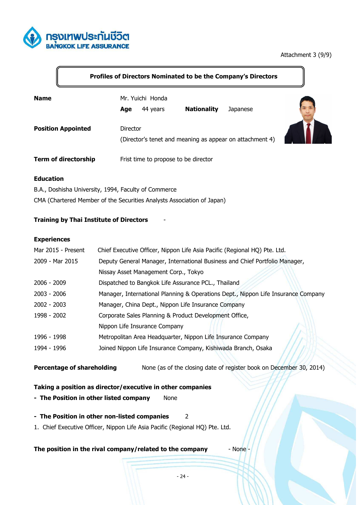

#### Attachment 3 (9/9)

#### **Profiles of Directors Nominated to be the Company's Directors**

| <b>Name</b>                 | Age      | Mr. Yuichi Honda<br>44 years         | <b>Nationality</b> | Japanese                                                 |  |
|-----------------------------|----------|--------------------------------------|--------------------|----------------------------------------------------------|--|
| <b>Position Appointed</b>   | Director |                                      |                    | (Director's tenet and meaning as appear on attachment 4) |  |
| <b>Term of directorship</b> |          | Frist time to propose to be director |                    |                                                          |  |

#### **Education**

B.A., Doshisha University, 1994, Faculty of Commerce

CMA (Chartered Member of the Securities Analysts Association of Japan)

#### **Training by Thai Institute of Directors** -

#### **Experiences**

| Mar 2015 - Present | Chief Executive Officer, Nippon Life Asia Pacific (Regional HQ) Pte. Ltd.         |
|--------------------|-----------------------------------------------------------------------------------|
| 2009 - Mar 2015    | Deputy General Manager, International Business and Chief Portfolio Manager,       |
|                    | Nissay Asset Management Corp., Tokyo                                              |
| $2006 - 2009$      | Dispatched to Bangkok Life Assurance PCL., Thailand                               |
| $2003 - 2006$      | Manager, International Planning & Operations Dept., Nippon Life Insurance Company |
| $2002 - 2003$      | Manager, China Dept., Nippon Life Insurance Company                               |
| 1998 - 2002        | Corporate Sales Planning & Product Development Office,                            |
|                    | Nippon Life Insurance Company                                                     |
| 1996 - 1998        | Metropolitan Area Headquarter, Nippon Life Insurance Company                      |
| 1994 - 1996        | Joined Nippon Life Insurance Company, Kishiwada Branch, Osaka                     |

**Percentage of shareholding** None (as of the closing date of register book on December 30, 2014)

#### **Taking a position as director/executive in other companies**

- **The Position in other listed company** None
- **The Position in other non-listed companies** 2
- 1. Chief Executive Officer, Nippon Life Asia Pacific (Regional HQ) Pte. Ltd.

**The position in the rival company/related to the company** - None -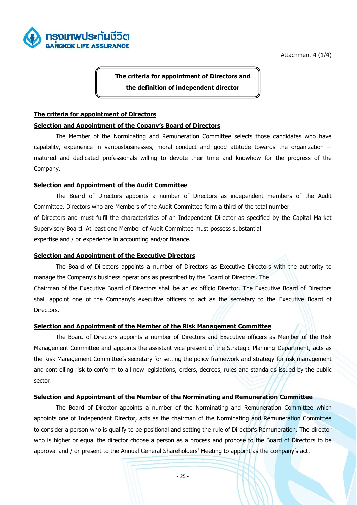

Attachment 4 (1/4)

**The criteria for appointment of Directors and the definition of independent director** 

#### **The criteria for appointment of Directors**

#### **Selection and Appointment of the Copany's Board of Directors**

 The Member of the Norminating and Remuneration Committee selects those candidates who have capability, experience in variousbusinesses, moral conduct and good attitude towards the organization - matured and dedicated professionals willing to devote their time and knowhow for the progress of the Company.

#### **Selection and Appointment of the Audit Committee**

 The Board of Directors appoints a number of Directors as independent members of the Audit Committee. Directors who are Members of the Audit Committee form a third of the total number of Directors and must fulfil the characteristics of an Independent Director as specified by the Capital Market Supervisory Board. At least one Member of Audit Committee must possess substantial expertise and / or experience in accounting and/or finance.

#### **Selection and Appointment of the Executive Directors**

 The Board of Directors appoints a number of Directors as Executive Directors with the authority to manage the Company's business operations as prescribed by the Board of Directors. The Chairman of the Executive Board of Directors shall be an ex officio Director. The Executive Board of Directors shall appoint one of the Company's executive officers to act as the secretary to the Executive Board of Directors.

#### **Selection and Appointment of the Member of the Risk Management Committee**

 The Board of Directors appoints a number of Directors and Executive officers as Member of the Risk Management Committee and appoints the assistant vice present of the Strategic Planning Department, acts as the Risk Management Committee's secretary for setting the policy framework and strategy for risk management and controlling risk to conform to all new legislations, orders, decrees, rules and standards issued by the public sector.

#### **Selection and Appointment of the Member of the Norminating and Remuneration Committee**

 The Board of Director appoints a number of the Norminating and Remuneration Committee which appoints one of Independent Director, acts as the chairman of the Norminating and Remuneration Committee to consider a person who is qualify to be positional and setting the rule of Director's Remuneration. The director who is higher or equal the director choose a person as a process and propose to the Board of Directors to be approval and / or present to the Annual General Shareholders' Meeting to appoint as the company's act.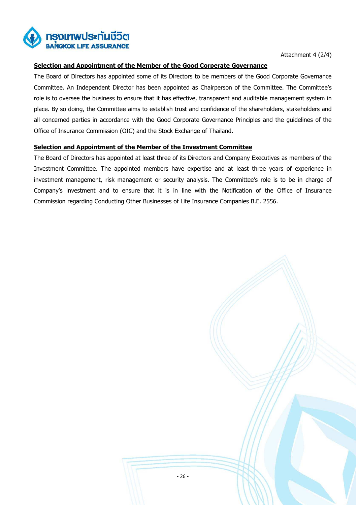

Attachment 4 (2/4)

#### **Selection and Appointment of the Member of the Good Corperate Governance**

The Board of Directors has appointed some of its Directors to be members of the Good Corporate Governance Committee. An Independent Director has been appointed as Chairperson of the Committee. The Committee's role is to oversee the business to ensure that it has effective, transparent and auditable management system in place. By so doing, the Committee aims to establish trust and confidence of the shareholders, stakeholders and all concerned parties in accordance with the Good Corporate Governance Principles and the guidelines of the Office of Insurance Commission (OIC) and the Stock Exchange of Thailand.

#### **Selection and Appointment of the Member of the Investment Committee**

The Board of Directors has appointed at least three of its Directors and Company Executives as members of the Investment Committee. The appointed members have expertise and at least three years of experience in investment management, risk management or security analysis. The Committee's role is to be in charge of Company's investment and to ensure that it is in line with the Notification of the Office of Insurance Commission regarding Conducting Other Businesses of Life Insurance Companies B.E. 2556.

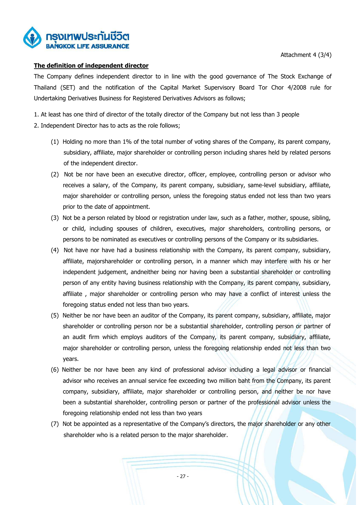

Attachment 4 (3/4)

#### **The definition of independent director**

The Company defines independent director to in line with the good governance of The Stock Exchange of Thailand (SET) and the notification of the Capital Market Supervisory Board Tor Chor 4/2008 rule for Undertaking Derivatives Business for Registered Derivatives Advisors as follows;

1. At least has one third of director of the totally director of the Company but not less than 3 people

- 2. Independent Director has to acts as the role follows;
	- (1) Holding no more than 1% of the total number of voting shares of the Company, its parent company, subsidiary, affiliate, major shareholder or controlling person including shares held by related persons of the independent director.
	- (2) Not be nor have been an executive director, officer, employee, controlling person or advisor who receives a salary, of the Company, its parent company, subsidiary, same-level subsidiary, affiliate, major shareholder or controlling person, unless the foregoing status ended not less than two years prior to the date of appointment.
	- (3) Not be a person related by blood or registration under law, such as a father, mother, spouse, sibling, or child, including spouses of children, executives, major shareholders, controlling persons, or persons to be nominated as executives or controlling persons of the Company or its subsidiaries.
	- (4) Not have nor have had a business relationship with the Company, its parent company, subsidiary, affiliate, majorshareholder or controlling person, in a manner which may interfere with his or her independent judgement, andneither being nor having been a substantial shareholder or controlling person of any entity having business relationship with the Company, its parent company, subsidiary, affiliate , major shareholder or controlling person who may have a conflict of interest unless the foregoing status ended not less than two years.
	- (5) Neither be nor have been an auditor of the Company, its parent company, subsidiary, affiliate, major shareholder or controlling person nor be a substantial shareholder, controlling person or partner of an audit firm which employs auditors of the Company, its parent company, subsidiary, affiliate, major shareholder or controlling person, unless the foregoing relationship ended not less than two years.
	- (6) Neither be nor have been any kind of professional advisor including a legal advisor or financial advisor who receives an annual service fee exceeding two million baht from the Company, its parent company, subsidiary, affiliate, major shareholder or controlling person, and neither be nor have been a substantial shareholder, controlling person or partner of the professional advisor unless the foregoing relationship ended not less than two years
	- (7) Not be appointed as a representative of the Company's directors, the major shareholder or any other shareholder who is a related person to the major shareholder.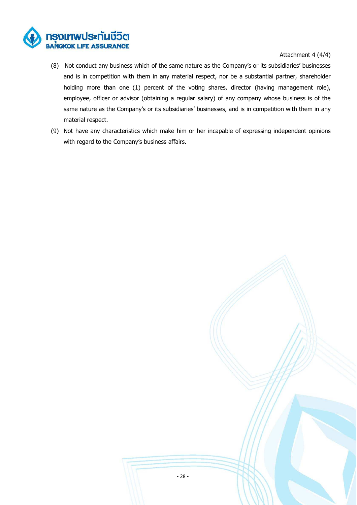

#### Attachment 4 (4/4)

- (8) Not conduct any business which of the same nature as the Company's or its subsidiaries' businesses and is in competition with them in any material respect, nor be a substantial partner, shareholder holding more than one (1) percent of the voting shares, director (having management role), employee, officer or advisor (obtaining a regular salary) of any company whose business is of the same nature as the Company's or its subsidiaries' businesses, and is in competition with them in any material respect.
- (9) Not have any characteristics which make him or her incapable of expressing independent opinions with regard to the Company's business affairs.

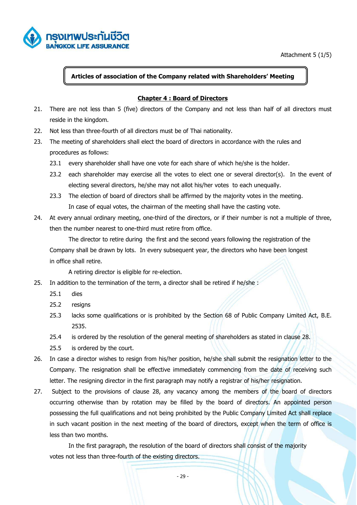

Attachment 5 (1/5)

#### **Articles of association of the Company related with Shareholders' Meeting**

#### **Chapter 4 : Board of Directors**

- 21. There are not less than 5 (five) directors of the Company and not less than half of all directors must reside in the kingdom.
- 22. Not less than three-fourth of all directors must be of Thai nationality.
- 23. The meeting of shareholders shall elect the board of directors in accordance with the rules and procedures as follows:
	- 23.1 every shareholder shall have one vote for each share of which he/she is the holder.
	- 23.2 each shareholder may exercise all the votes to elect one or several director(s). In the event of electing several directors, he/she may not allot his/her votes to each unequally.
	- 23.3 The election of board of directors shall be affirmed by the majority votes in the meeting. In case of equal votes, the chairman of the meeting shall have the casting vote.
- 24. At every annual ordinary meeting, one-third of the directors, or if their number is not a multiple of three, then the number nearest to one-third must retire from office.

 The director to retire during the first and the second years following the registration of the Company shall be drawn by lots. In every subsequent year, the directors who have been longest in office shall retire.

A retiring director is eligible for re-election.

- 25. In addition to the termination of the term, a director shall be retired if he/she :
	- 25.1 dies
	- 25.2 resigns
	- 25.3 lacks some qualifications or is prohibited by the Section 68 of Public Company Limited Act, B.E. 2535.
	- 25.4 is ordered by the resolution of the general meeting of shareholders as stated in clause 28.
	- 25.5 is ordered by the court.
- 26. In case a director wishes to resign from his/her position, he/she shall submit the resignation letter to the Company. The resignation shall be effective immediately commencing from the date of receiving such letter. The resigning director in the first paragraph may notify a registrar of his/her resignation.
- 27. Subject to the provisions of clause 28, any vacancy among the members of the board of directors occurring otherwise than by rotation may be filled by the board of directors. An appointed person possessing the full qualifications and not being prohibited by the Public Company Limited Act shall replace in such vacant position in the next meeting of the board of directors, except when the term of office is less than two months.

 In the first paragraph, the resolution of the board of directors shall consist of the majority votes not less than three-fourth of the existing directors.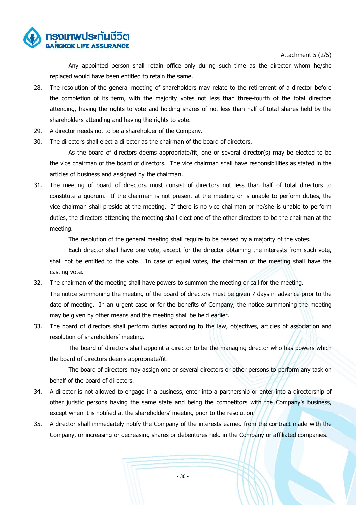

Attachment 5 (2/5)

 Any appointed person shall retain office only during such time as the director whom he/she replaced would have been entitled to retain the same.

- 28. The resolution of the general meeting of shareholders may relate to the retirement of a director before the completion of its term, with the majority votes not less than three-fourth of the total directors attending, having the rights to vote and holding shares of not less than half of total shares held by the shareholders attending and having the rights to vote.
- 29. A director needs not to be a shareholder of the Company.
- 30. The directors shall elect a director as the chairman of the board of directors.

 As the board of directors deems appropriate/fit, one or several director(s) may be elected to be the vice chairman of the board of directors. The vice chairman shall have responsibilities as stated in the articles of business and assigned by the chairman.

31. The meeting of board of directors must consist of directors not less than half of total directors to constitute a quorum. If the chairman is not present at the meeting or is unable to perform duties, the vice chairman shall preside at the meeting. If there is no vice chairman or he/she is unable to perform duties, the directors attending the meeting shall elect one of the other directors to be the chairman at the meeting.

The resolution of the general meeting shall require to be passed by a majority of the votes.

 Each director shall have one vote, except for the director obtaining the interests from such vote, shall not be entitled to the vote. In case of equal votes, the chairman of the meeting shall have the casting vote.

- 32. The chairman of the meeting shall have powers to summon the meeting or call for the meeting. The notice summoning the meeting of the board of directors must be given 7 days in advance prior to the date of meeting. In an urgent case or for the benefits of Company, the notice summoning the meeting may be given by other means and the meeting shall be held earlier.
- 33. The board of directors shall perform duties according to the law, objectives, articles of association and resolution of shareholders' meeting.

 The board of directors shall appoint a director to be the managing director who has powers which the board of directors deems appropriate/fit.

 The board of directors may assign one or several directors or other persons to perform any task on behalf of the board of directors.

- 34. A director is not allowed to engage in a business, enter into a partnership or enter into a directorship of other juristic persons having the same state and being the competitors with the Company's business, except when it is notified at the shareholders' meeting prior to the resolution.
- 35. A director shall immediately notify the Company of the interests earned from the contract made with the Company, or increasing or decreasing shares or debentures held in the Company or affiliated companies.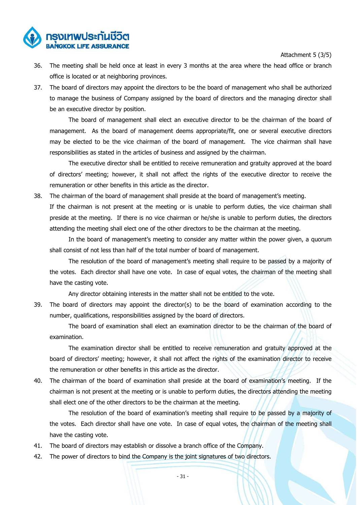Attachment 5 (3/5)

- ารงเทพประกันชีวิต
	- 36. The meeting shall be held once at least in every 3 months at the area where the head office or branch office is located or at neighboring provinces.
	- 37. The board of directors may appoint the directors to be the board of management who shall be authorized to manage the business of Company assigned by the board of directors and the managing director shall be an executive director by position.

 The board of management shall elect an executive director to be the chairman of the board of management. As the board of management deems appropriate/fit, one or several executive directors may be elected to be the vice chairman of the board of management. The vice chairman shall have responsibilities as stated in the articles of business and assigned by the chairman.

 The executive director shall be entitled to receive remuneration and gratuity approved at the board of directors' meeting; however, it shall not affect the rights of the executive director to receive the remuneration or other benefits in this article as the director.

38. The chairman of the board of management shall preside at the board of management's meeting.

 If the chairman is not present at the meeting or is unable to perform duties, the vice chairman shall preside at the meeting. If there is no vice chairman or he/she is unable to perform duties, the directors attending the meeting shall elect one of the other directors to be the chairman at the meeting.

 In the board of management's meeting to consider any matter within the power given, a quorum shall consist of not less than half of the total number of board of management.

 The resolution of the board of management's meeting shall require to be passed by a majority of the votes. Each director shall have one vote. In case of equal votes, the chairman of the meeting shall have the casting vote.

Any director obtaining interests in the matter shall not be entitled to the vote.

39. The board of directors may appoint the director(s) to be the board of examination according to the number, qualifications, responsibilities assigned by the board of directors.

 The board of examination shall elect an examination director to be the chairman of the board of examination.

 The examination director shall be entitled to receive remuneration and gratuity approved at the board of directors' meeting; however, it shall not affect the rights of the examination director to receive the remuneration or other benefits in this article as the director.

40. The chairman of the board of examination shall preside at the board of examination's meeting. If the chairman is not present at the meeting or is unable to perform duties, the directors attending the meeting shall elect one of the other directors to be the chairman at the meeting.

 The resolution of the board of examination's meeting shall require to be passed by a majority of the votes. Each director shall have one vote. In case of equal votes, the chairman of the meeting shall have the casting vote.

- 41. The board of directors may establish or dissolve a branch office of the Company.
- 42. The power of directors to bind the Company is the joint signatures of two directors.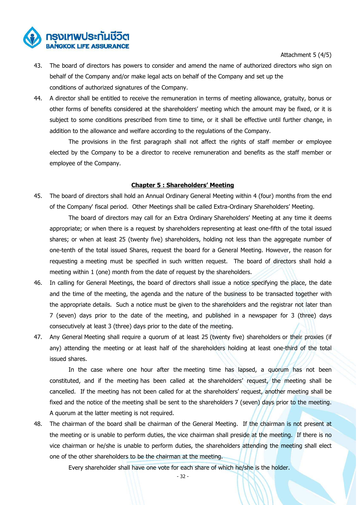

Attachment 5 (4/5)

- 43. The board of directors has powers to consider and amend the name of authorized directors who sign on behalf of the Company and/or make legal acts on behalf of the Company and set up the conditions of authorized signatures of the Company.
- 44. A director shall be entitled to receive the remuneration in terms of meeting allowance, gratuity, bonus or other forms of benefits considered at the shareholders' meeting which the amount may be fixed, or it is subject to some conditions prescribed from time to time, or it shall be effective until further change, in addition to the allowance and welfare according to the regulations of the Company.

 The provisions in the first paragraph shall not affect the rights of staff member or employee elected by the Company to be a director to receive remuneration and benefits as the staff member or employee of the Company.

#### **Chapter 5 : Shareholders' Meeting**

45. The board of directors shall hold an Annual Ordinary General Meeting within 4 (four) months from the end of the Company' fiscal period. Other Meetings shall be called Extra-Ordinary Shareholders' Meeting.

 The board of directors may call for an Extra Ordinary Shareholders' Meeting at any time it deems appropriate; or when there is a request by shareholders representing at least one-fifth of the total issued shares; or when at least 25 (twenty five) shareholders, holding not less than the aggregate number of one-tenth of the total issued Shares, request the board for a General Meeting. However, the reason for requesting a meeting must be specified in such written request. The board of directors shall hold a meeting within 1 (one) month from the date of request by the shareholders.

- 46. In calling for General Meetings, the board of directors shall issue a notice specifying the place, the date and the time of the meeting, the agenda and the nature of the business to be transacted together with the appropriate details. Such a notice must be given to the shareholders and the registrar not later than 7 (seven) days prior to the date of the meeting, and published in a newspaper for 3 (three) days consecutively at least 3 (three) days prior to the date of the meeting.
- 47. Any General Meeting shall require a quorum of at least 25 (twenty five) shareholders or their proxies (if any) attending the meeting or at least half of the shareholders holding at least one-third of the total issued shares.

 In the case where one hour after the meeting time has lapsed, a quorum has not been constituted, and if the meeting has been called at the shareholders' request, the meeting shall be cancelled. If the meeting has not been called for at the shareholders' request, another meeting shall be fixed and the notice of the meeting shall be sent to the shareholders 7 (seven) days prior to the meeting. A quorum at the latter meeting is not required.

48. The chairman of the board shall be chairman of the General Meeting. If the chairman is not present at the meeting or is unable to perform duties, the vice chairman shall preside at the meeting. If there is no vice chairman or he/she is unable to perform duties, the shareholders attending the meeting shall elect one of the other shareholders to be the chairman at the meeting.

Every shareholder shall have one vote for each share of which he/she is the holder.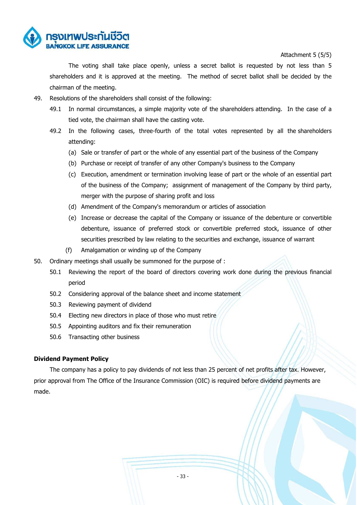

Attachment 5 (5/5)

 The voting shall take place openly, unless a secret ballot is requested by not less than 5 shareholders and it is approved at the meeting. The method of secret ballot shall be decided by the chairman of the meeting.

- 49. Resolutions of the shareholders shall consist of the following:
	- 49.1 In normal circumstances, a simple majority vote of the shareholders attending. In the case of a tied vote, the chairman shall have the casting vote.
	- 49.2 In the following cases, three-fourth of the total votes represented by all the shareholders attending:
		- (a) Sale or transfer of part or the whole of any essential part of the business of the Company
		- (b) Purchase or receipt of transfer of any other Company's business to the Company
		- (c) Execution, amendment or termination involving lease of part or the whole of an essential part of the business of the Company; assignment of management of the Company by third party, merger with the purpose of sharing profit and loss
		- (d) Amendment of the Company's memorandum or articles of association
		- (e) Increase or decrease the capital of the Company or issuance of the debenture or convertible debenture, issuance of preferred stock or convertible preferred stock, issuance of other securities prescribed by law relating to the securities and exchange, issuance of warrant
		- (f) Amalgamation or winding up of the Company
- 50. Ordinary meetings shall usually be summoned for the purpose of :
	- 50.1 Reviewing the report of the board of directors covering work done during the previous financial period
	- 50.2 Considering approval of the balance sheet and income statement
	- 50.3 Reviewing payment of dividend
	- 50.4 Electing new directors in place of those who must retire
	- 50.5 Appointing auditors and fix their remuneration
	- 50.6 Transacting other business

#### **Dividend Payment Policy**

 The company has a policy to pay dividends of not less than 25 percent of net profits after tax. However, prior approval from The Office of the Insurance Commission (OIC) is required before dividend payments are made.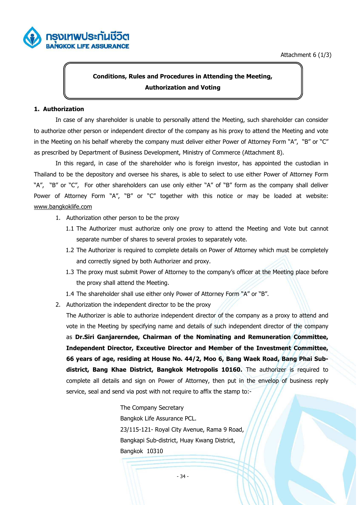



## **Conditions, Rules and Procedures in Attending the Meeting, Authorization and Voting**

#### **1. Authorization**

In case of any shareholder is unable to personally attend the Meeting, such shareholder can consider to authorize other person or independent director of the company as his proxy to attend the Meeting and vote in the Meeting on his behalf whereby the company must deliver either Power of Attorney Form "A", "B" or "C" as prescribed by Department of Business Development, Ministry of Commerce (Attachment 8).

In this regard, in case of the shareholder who is foreign investor, has appointed the custodian in Thailand to be the depository and oversee his shares, is able to select to use either Power of Attorney Form "A", "B" or "C", For other shareholders can use only either "A" of "B" form as the company shall deliver Power of Attorney Form "A", "B" or "C" together with this notice or may be loaded at website: www.bangkoklife.com

- 1. Authorization other person to be the proxy
	- 1.1 The Authorizer must authorize only one proxy to attend the Meeting and Vote but cannot separate number of shares to several proxies to separately vote.
	- 1.2 The Authorizer is required to complete details on Power of Attorney which must be completely and correctly signed by both Authorizer and proxy.
	- 1.3 The proxy must submit Power of Attorney to the company's officer at the Meeting place before the proxy shall attend the Meeting.
	- 1.4 The shareholder shall use either only Power of Attorney Form "A" or "B".
- 2. Authorization the independent director to be the proxy

The Authorizer is able to authorize independent director of the company as a proxy to attend and vote in the Meeting by specifying name and details of such independent director of the company as **Dr.Siri Ganjarerndee, Chairman of the Nominating and Remuneration Committee, Independent Director, Exceutive Director and Member of the Investment Committee, 66 years of age, residing at House No. 44/2, Moo 6, Bang Waek Road, Bang Phai Subdistrict, Bang Khae District, Bangkok Metropolis 10160.** The authorizer is required to complete all details and sign on Power of Attorney, then put in the envelop of business reply service, seal and send via post with not require to affix the stamp to:-

> The Company Secretary Bangkok Life Assurance PCL. 23/115-121- Royal City Avenue, Rama 9 Road, Bangkapi Sub-district, Huay Kwang District, Bangkok 10310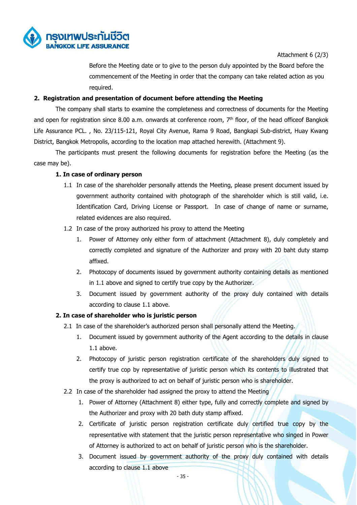

Attachment 6 (2/3)

Before the Meeting date or to give to the person duly appointed by the Board before the commencement of the Meeting in order that the company can take related action as you required.

#### **2. Registration and presentation of document before attending the Meeting**

The company shall starts to examine the completeness and correctness of documents for the Meeting and open for registration since 8.00 a.m. onwards at conference room,  $7<sup>th</sup>$  floor, of the head officeof Bangkok Life Assurance PCL. , No. 23/115-121, Royal City Avenue, Rama 9 Road, Bangkapi Sub-district, Huay Kwang District, Bangkok Metropolis, according to the location map attached herewith. (Attachment 9).

 The participants must present the following documents for registration before the Meeting (as the case may be).

#### **1. In case of ordinary person**

- 1.1 In case of the shareholder personally attends the Meeting, please present document issued by government authority contained with photograph of the shareholder which is still valid, i.e. Identification Card, Driving License or Passport. In case of change of name or surname, related evidences are also required.
- 1.2 In case of the proxy authorized his proxy to attend the Meeting
	- 1. Power of Attorney only either form of attachment (Attachment 8), duly completely and correctly completed and signature of the Authorizer and proxy with 20 baht duty stamp affixed.
	- 2. Photocopy of documents issued by government authority containing details as mentioned in 1.1 above and signed to certify true copy by the Authorizer.
	- 3. Document issued by government authority of the proxy duly contained with details according to clause 1.1 above.

#### **2. In case of shareholder who is juristic person**

- 2.1 In case of the shareholder's authorized person shall personally attend the Meeting.
	- 1. Document issued by government authority of the Agent according to the details in clause 1.1 above.
	- 2. Photocopy of juristic person registration certificate of the shareholders duly signed to certify true cop by representative of juristic person which its contents to illustrated that the proxy is authorized to act on behalf of juristic person who is shareholder.
- 2.2 In case of the shareholder had assigned the proxy to attend the Meeting
	- 1. Power of Attorney (Attachment 8) either type, fully and correctly complete and signed by the Authorizer and proxy with 20 bath duty stamp affixed.
	- 2. Certificate of juristic person registration certificate duly certified true copy by the representative with statement that the juristic person representative who singed in Power of Attorney is authorized to act on behalf of juristic person who is the shareholder.
	- 3. Document issued by government authority of the proxy duly contained with details according to clause 1.1 above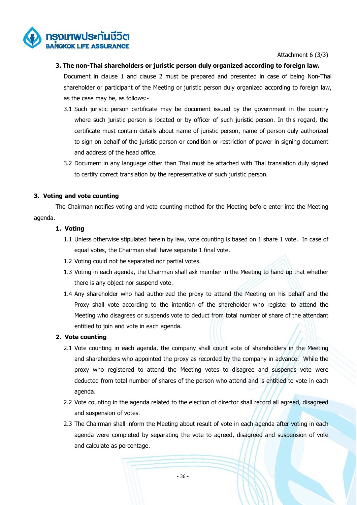

Attachment 6 (3/3)

#### **3. The non-Thai shareholders or juristic person duly organized according to foreign law.**

Document in clause 1 and clause 2 must be prepared and presented in case of being Non-Thai shareholder or participant of the Meeting or juristic person duly organized according to foreign law, as the case may be, as follows:-

- 3.1 Such juristic person certificate may be document issued by the government in the country where such juristic person is located or by officer of such juristic person. In this regard, the certificate must contain details about name of juristic person, name of person duly authorized to sign on behalf of the juristic person or condition or restriction of power in signing document and address of the head office.
- 3.2 Document in any language other than Thai must be attached with Thai translation duly signed to certify correct translation by the representative of such juristic person.

#### **3. Voting and vote counting**

 The Chairman notifies voting and vote counting method for the Meeting before enter into the Meeting agenda.

#### **1. Voting**

- 1.1 Unless otherwise stipulated herein by law, vote counting is based on 1 share 1 vote. In case of equal votes, the Chairman shall have separate 1 final vote.
- 1.2 Voting could not be separated nor partial votes.
- 1.3 Voting in each agenda, the Chairman shall ask member in the Meeting to hand up that whether there is any object nor suspend vote.
- 1.4 Any shareholder who had authorized the proxy to attend the Meeting on his behalf and the Proxy shall vote according to the intention of the shareholder who register to attend the Meeting who disagrees or suspends vote to deduct from total number of share of the attendant entitled to join and vote in each agenda.

#### **2. Vote counting**

- 2.1 Vote counting in each agenda, the company shall count vote of shareholders in the Meeting and shareholders who appointed the proxy as recorded by the company in advance. While the proxy who registered to attend the Meeting votes to disagree and suspends vote were deducted from total number of shares of the person who attend and is entitled to vote in each agenda.
- 2.2 Vote counting in the agenda related to the election of director shall record all agreed, disagreed and suspension of votes.
- 2.3 The Chairman shall inform the Meeting about result of vote in each agenda after voting in each agenda were completed by separating the vote to agreed, disagreed and suspension of vote and calculate as percentage.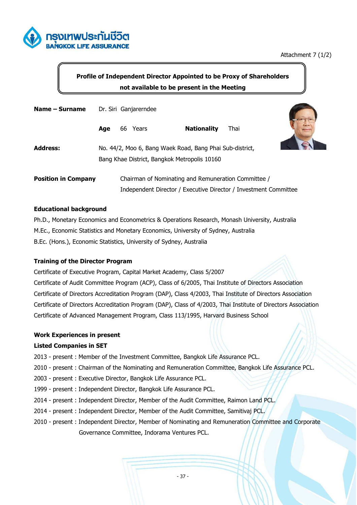

## **Profile of Independent Director Appointed to be Proxy of Shareholders not available to be present in the Meeting**

| Name – Surname             | Dr. Siri Ganjarerndee |  |          |                                                                  |      |  |
|----------------------------|-----------------------|--|----------|------------------------------------------------------------------|------|--|
|                            | Age                   |  | 66 Years | <b>Nationality</b>                                               | Thai |  |
| <b>Address:</b>            |                       |  |          | No. 44/2, Moo 6, Bang Waek Road, Bang Phai Sub-district,         |      |  |
|                            |                       |  |          | Bang Khae District, Bangkok Metropolis 10160                     |      |  |
| <b>Position in Company</b> |                       |  |          | Chairman of Nominating and Remuneration Committee /              |      |  |
|                            |                       |  |          | Independent Director / Executive Director / Investment Committee |      |  |

#### **Educational background**

Ph.D., Monetary Economics and Econometrics & Operations Research, Monash University, Australia M.Ec., Economic Statistics and Monetary Economics, University of Sydney, Australia B.Ec. (Hons.), Economic Statistics, University of Sydney, Australia

#### **Training of the Director Program**

Certificate of Executive Program, Capital Market Academy, Class 5/2007 Certificate of Audit Committee Program (ACP), Class of 6/2005, Thai Institute of Directors Association Certificate of Directors Accreditation Program (DAP), Class 4/2003, Thai Institute of Directors Association Certificate of Directors Accreditation Program (DAP), Class of 4/2003, Thai Institute of Directors Association Certificate of Advanced Management Program, Class 113/1995, Harvard Business School

#### **Work Experiences in present**

#### **Listed Companies in SET**

- 2013 present : Member of the Investment Committee, Bangkok Life Assurance PCL.
- 2010 present : Chairman of the Nominating and Remuneration Committee, Bangkok Life Assurance PCL.
- 2003 present : Executive Director, Bangkok Life Assurance PCL.
- 1999 present : Independent Director, Bangkok Life Assurance PCL.
- 2014 present : Independent Director, Member of the Audit Committee, Raimon Land PCL.
- 2014 present : Independent Director, Member of the Audit Committee, Samitivaj PCL.
- 2010 present : Independent Director, Member of Nominating and Remuneration Committee and Corporate Governance Committee, Indorama Ventures PCL.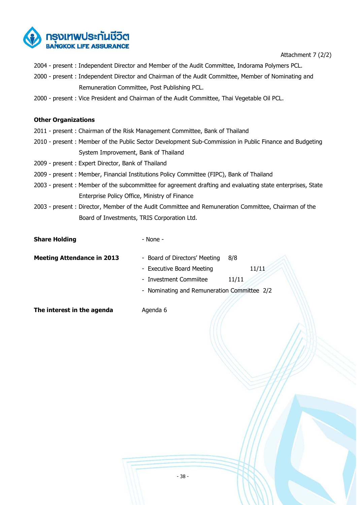

Attachment 7 (2/2)

- 2004 present : Independent Director and Member of the Audit Committee, Indorama Polymers PCL.
- 2000 present : Independent Director and Chairman of the Audit Committee, Member of Nominating and Remuneration Committee, Post Publishing PCL.
- 2000 present : Vice President and Chairman of the Audit Committee, Thai Vegetable Oil PCL.

#### **Other Organizations**

- 2011 present : Chairman of the Risk Management Committee, Bank of Thailand
- 2010 present : Member of the Public Sector Development Sub-Commission in Public Finance and Budgeting System Improvement, Bank of Thailand
- 2009 present : Expert Director, Bank of Thailand
- 2009 present : Member, Financial Institutions Policy Committee (FIPC), Bank of Thailand
- 2003 present : Member of the subcommittee for agreement drafting and evaluating state enterprises, State Enterprise Policy Office, Ministry of Finance
- 2003 present : Director, Member of the Audit Committee and Remuneration Committee, Chairman of the Board of Investments, TRIS Corporation Ltd.

#### **Share Holding**  - None -

**Meeting Attendance in 2013** - Board of Directors' Meeting 8/8

- Executive Board Meeting 11/11

- Investment Commiitee 11/11
- Nominating and Remuneration Committee 2/2

**The interest in the agenda** Agenda 6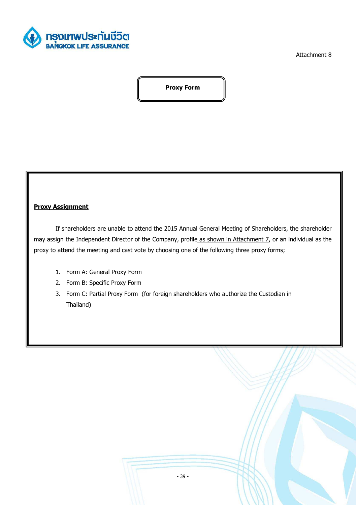

Attachment 8

**Proxy Form** 

#### **Proxy Assignment**

 If shareholders are unable to attend the 2015 Annual General Meeting of Shareholders, the shareholder may assign the Independent Director of the Company, profile as shown in Attachment 7, or an individual as the proxy to attend the meeting and cast vote by choosing one of the following three proxy forms;

- 1. Form A: General Proxy Form
- 2. Form B: Specific Proxy Form
- 3. Form C: Partial Proxy Form (for foreign shareholders who authorize the Custodian in Thailand)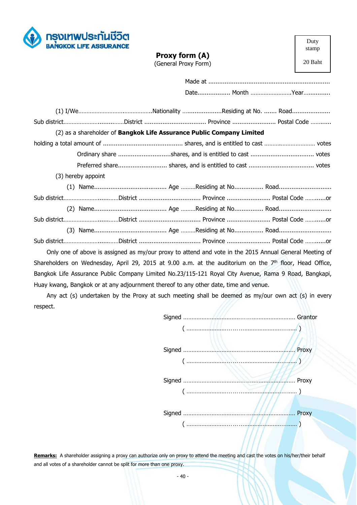

| Proxy form (A)       |  |
|----------------------|--|
| (General Proxy Form) |  |

Duty stamp

20 Baht

| (2) as a shareholder of Bangkok Life Assurance Public Company Limited                                     |  |  |
|-----------------------------------------------------------------------------------------------------------|--|--|
|                                                                                                           |  |  |
|                                                                                                           |  |  |
|                                                                                                           |  |  |
| (3) hereby appoint                                                                                        |  |  |
|                                                                                                           |  |  |
| Sub districtDistrict  Province  Postal Code or                                                            |  |  |
|                                                                                                           |  |  |
| Sub districtDistrict  Province  Postal Code or                                                            |  |  |
|                                                                                                           |  |  |
| Sub districtDistrict  Province  Postal Code or                                                            |  |  |
| Only one of above is assigned as my/our proxy to attend and vote in the 2015 Annual General Meeting of    |  |  |
| Shareholders on Wednesday, April 29, 2015 at 9.00 a.m. at the auditorium on the $7th$ floor, Head Office, |  |  |
| Bangkok Life Assurance Public Company Limited No.23/115-121 Royal City Avenue, Rama 9 Road, Bangkapi,     |  |  |

Huay kwang, Bangkok or at any adjournment thereof to any other date, time and venue.

Any act (s) undertaken by the Proxy at such meeting shall be deemed as my/our own act (s) in every respect.



Remarks: A shareholder assigning a proxy can authorize only on proxy to attend the meeting and cast the votes on his/her/their behalf and all votes of a shareholder cannot be split for more than one proxy.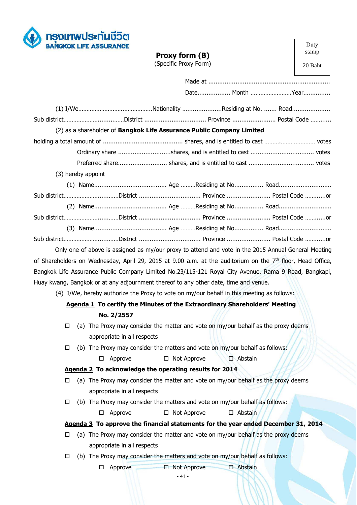

|                                                                                                              | Proxy form (B)<br>(Specific Proxy Form)                                                             | stamp<br>20 Baht |
|--------------------------------------------------------------------------------------------------------------|-----------------------------------------------------------------------------------------------------|------------------|
|                                                                                                              |                                                                                                     |                  |
|                                                                                                              |                                                                                                     |                  |
|                                                                                                              |                                                                                                     |                  |
|                                                                                                              |                                                                                                     |                  |
|                                                                                                              | (2) as a shareholder of Bangkok Life Assurance Public Company Limited                               |                  |
|                                                                                                              |                                                                                                     |                  |
|                                                                                                              |                                                                                                     |                  |
|                                                                                                              |                                                                                                     |                  |
| (3) hereby appoint                                                                                           |                                                                                                     |                  |
|                                                                                                              |                                                                                                     |                  |
| Sub districtDistrict  Province  Postal Code or                                                               |                                                                                                     |                  |
|                                                                                                              |                                                                                                     |                  |
| Sub districtDistrict  Province  Postal Code or                                                               |                                                                                                     |                  |
|                                                                                                              |                                                                                                     |                  |
| Sub districtDistrict  Province  Postal Code or                                                               |                                                                                                     |                  |
|                                                                                                              | Only one of above is assigned as my/our proxy to attend and vote in the 2015 Annual General Meeting |                  |
| of Shareholders on Wednesday, April 29, 2015 at 9.00 a.m. at the auditorium on the $7th$ floor, Head Office, |                                                                                                     |                  |
| Bangkok Life Assurance Public Company Limited No.23/115-121 Royal City Avenue, Rama 9 Road, Bangkapi,        |                                                                                                     |                  |

Duty

Huay kwang, Bangkok or at any adjournment thereof to any other date, time and venue.

(4) I/We, hereby authorize the Proxy to vote on my/our behalf in this meeting as follows:

## **Agenda 1 To certify the Minutes of the Extraordinary Shareholders' Meeting No. 2/2557**

- $\Box$  (a) The Proxy may consider the matter and vote on my/our behalf as the proxy deems appropriate in all respects
- $\Box$  (b) The Proxy may consider the matters and vote on my/our behalf as follows:  $\Box$  Approve  $\Box$  Not Approve  $\Box$  Abstain

## **Agenda 2 To acknowledge the operating results for 2014**

- $\Box$  (a) The Proxy may consider the matter and vote on my/our behalf as the proxy deems appropriate in all respects
- $\Box$  (b) The Proxy may consider the matters and vote on my/our behalf as follows:

 $\Box$  Approve  $\Box$  Not Approve  $\Box$  Abstain

## **Agenda 3 To approve the financial statements for the year ended December 31, 2014**

- $\Box$  (a) The Proxy may consider the matter and vote on my/our behalf as the proxy deems appropriate in all respects
- $\Box$  (b) The Proxy may consider the matters and vote on my/our behalf as follows:

 $\Box$  Approve  $\Box$  Not Approve  $\Box$  Abstain

- 41 -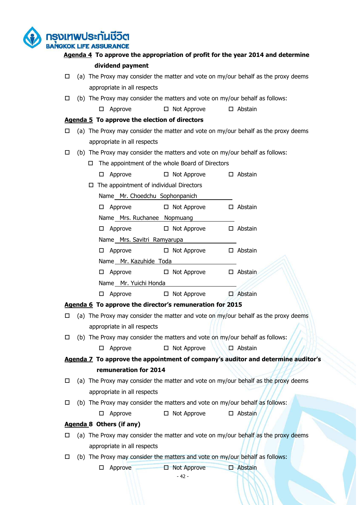ารงเทพประกันชีวิต **BANGKOK LIFE ASSURANCE** 

## **Agenda 4 To approve the appropriation of profit for the year 2014 and determine dividend payment**

- $\Box$  (a) The Proxy may consider the matter and vote on my/our behalf as the proxy deems appropriate in all respects
- $\Box$  (b) The Proxy may consider the matters and vote on my/our behalf as follows:
	- $\Box$  Approve  $\Box$  Not Approve  $\Box$  Abstain

#### **Agenda 5 To approve the election of directors**

- $\Box$  (a) The Proxy may consider the matter and vote on my/our behalf as the proxy deems appropriate in all respects
- $\Box$  (b) The Proxy may consider the matters and vote on my/our behalf as follows:
	- $\Box$  The appointment of the whole Board of Directors
		- $\Box$  Approve  $\Box$  Not Approve  $\Box$  Abstain
	- $\Box$  The appointment of individual Directors
		- Name Mr. Choedchu Sophonpanich

| $\square$ Approve |                             | $\Box$ Not Approve | $\Box$ Abstain |
|-------------------|-----------------------------|--------------------|----------------|
|                   | Name Mrs. Ruchanee Nopmuang |                    |                |

 $\Box$  Approve  $\Box$  Not Approve  $\Box$  Abstain

Name Mrs. Savitri Ramyarupa

 $\Box$  Approve  $\Box$  Not Approve  $\Box$  Abstain

Name Mr. Kazuhide Toda

 $\Box$  Approve  $\Box$  Not Approve  $\Box$  Abstain Name Mr. Yuichi Honda

 $\Box$  Approve  $\Box$  Not Approve  $\Box$  Abstain

## **Agenda 6 To approve the director's remuneration for 2015**

- $\Box$  (a) The Proxy may consider the matter and vote on my/our behalf as the proxy deems appropriate in all respects
- $\Box$  (b) The Proxy may consider the matters and vote on my/our behalf as follows:

 $\Box$  Approve  $\Box$  Not Approve  $\Box$  Abstain

**Agenda 7 To approve the appointment of company's auditor and determine auditor's remuneration for 2014** 

- $\Box$  (a) The Proxy may consider the matter and vote on my/our behalf as the proxy deems appropriate in all respects
- $\Box$  (b) The Proxy may consider the matters and vote on my/our behalf as follows:

 $\Box$  Approve  $\Box$  Not Approve  $\Box$  Abstain

## **Agenda 8 Others (if any)**

- $\Box$  (a) The Proxy may consider the matter and vote on my/our behalf as the proxy deems appropriate in all respects
- $\Box$  (b) The Proxy may consider the matters and vote on my/our behalf as follows:

 $\Box$  Approve  $\Box$  Not Approve  $\Box$  Abstain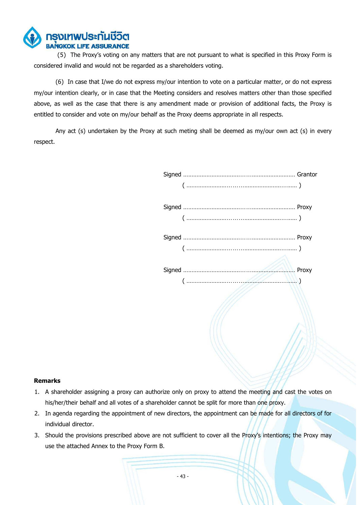

 (5) The Proxy's voting on any matters that are not pursuant to what is specified in this Proxy Form is considered invalid and would not be regarded as a shareholders voting.

 (6) In case that I/we do not express my/our intention to vote on a particular matter, or do not express my/our intention clearly, or in case that the Meeting considers and resolves matters other than those specified above, as well as the case that there is any amendment made or provision of additional facts, the Proxy is entitled to consider and vote on my/our behalf as the Proxy deems appropriate in all respects.

 Any act (s) undertaken by the Proxy at such meting shall be deemed as my/our own act (s) in every respect.

#### **Remarks**

- 1. A shareholder assigning a proxy can authorize only on proxy to attend the meeting and cast the votes on his/her/their behalf and all votes of a shareholder cannot be split for more than one proxy.
- 2. In agenda regarding the appointment of new directors, the appointment can be made for all directors of for individual director.
- 3. Should the provisions prescribed above are not sufficient to cover all the Proxy's intentions; the Proxy may use the attached Annex to the Proxy Form B.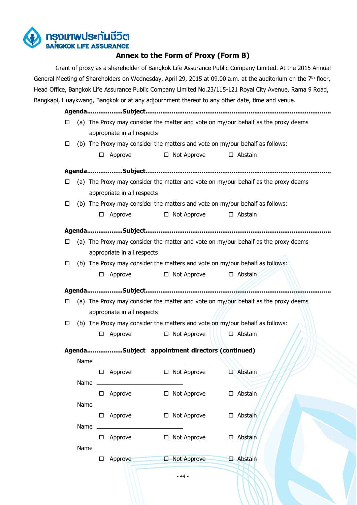

## **Annex to the Form of Proxy (Form B)**

 Grant of proxy as a shareholder of Bangkok Life Assurance Public Company Limited. At the 2015 Annual General Meeting of Shareholders on Wednesday, April 29, 2015 at 09.00 a.m. at the auditorium on the  $7<sup>th</sup>$  floor, Head Office, Bangkok Life Assurance Public Company Limited No.23/115-121 Royal City Avenue, Rama 9 Road, Bangkapi, Huaykwang, Bangkok or at any adjournment thereof to any other date, time and venue.

**Agenda...................Subject...................................................................................................**   $\Box$  (a) The Proxy may consider the matter and vote on my/our behalf as the proxy deems appropriate in all respects  $\Box$  (b) The Proxy may consider the matters and vote on my/our behalf as follows:

- $\Box$  Approve  $\Box$  Not Approve  $\Box$  Abstain
- **Agenda...................Subject...................................................................................................**   $\Box$  (a) The Proxy may consider the matter and vote on my/our behalf as the proxy deems appropriate in all respects  $\Box$  (b) The Proxy may consider the matters and vote on my/our behalf as follows:  $\Box$  Approve  $\Box$  Not Approve  $\Box$  Abstain **Agenda...................Subject...................................................................................................**   $\Box$  (a) The Proxy may consider the matter and vote on my/our behalf as the proxy deems appropriate in all respects  $\Box$  (b) The Proxy may consider the matters and vote on my/our behalf as follows:  $\Box$  Approve  $\Box$  Not Approve  $\Box$  Abstain **Agenda...................Subject...................................................................................................**   $\Box$  (a) The Proxy may consider the matter and vote on my/our behalf as the proxy deems appropriate in all respects  $\Box$  (b) The Proxy may consider the matters and vote on my/our behalf as follows:  $\Box$  Approve  $\Box$  Not Approve  $\Box$  Abstain

**Agenda...................Subject appointment directors (continued)** 

| Name |   |         |   |                    |               |         |
|------|---|---------|---|--------------------|---------------|---------|
|      | □ | Approve | □ | Not Approve        | $\mathcal{N}$ | Abstain |
| Name |   |         |   |                    |               |         |
|      | □ | Approve | □ | Not Approve        | $\Box$        | Abstain |
| Name |   |         |   |                    |               |         |
|      | □ | Approve | □ | Not Approve        | п             | Abstain |
| Name |   |         |   |                    |               |         |
|      | □ | Approve | □ | Not Approve        | □             | Abstain |
| Name |   |         |   |                    |               |         |
|      |   | Approve | Е | <b>Not Approve</b> |               | Abstain |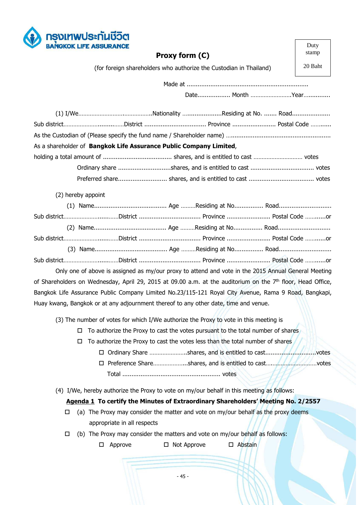

| <b>BANGKOK LIFE ASSURANCE</b> |                                                                                      |                                                                                                                         | Duty    |
|-------------------------------|--------------------------------------------------------------------------------------|-------------------------------------------------------------------------------------------------------------------------|---------|
|                               | Proxy form (C)                                                                       |                                                                                                                         | stamp   |
|                               | (for foreign shareholders who authorize the Custodian in Thailand)                   |                                                                                                                         | 20 Baht |
|                               |                                                                                      |                                                                                                                         |         |
|                               |                                                                                      |                                                                                                                         |         |
|                               |                                                                                      |                                                                                                                         |         |
|                               |                                                                                      |                                                                                                                         |         |
|                               |                                                                                      |                                                                                                                         |         |
|                               | As a shareholder of Bangkok Life Assurance Public Company Limited,                   |                                                                                                                         |         |
|                               |                                                                                      |                                                                                                                         |         |
|                               |                                                                                      |                                                                                                                         |         |
|                               |                                                                                      |                                                                                                                         |         |
| (2) hereby appoint            |                                                                                      |                                                                                                                         |         |
|                               |                                                                                      |                                                                                                                         |         |
|                               |                                                                                      | Sub districtDistrict  Province  Postal Code or                                                                          |         |
|                               |                                                                                      |                                                                                                                         |         |
|                               |                                                                                      | Sub districtDistrict  Province  Postal Code or                                                                          |         |
|                               |                                                                                      |                                                                                                                         |         |
|                               |                                                                                      |                                                                                                                         |         |
|                               |                                                                                      | Only one of above is assigned as my/our proxy to attend and vote in the 2015 Annual General Meeting                     |         |
|                               |                                                                                      | of Shareholders on Wednesday, April 29, 2015 at 09.00 a.m. at the auditorium on the 7 <sup>th</sup> floor, Head Office, |         |
|                               |                                                                                      | Bangkok Life Assurance Public Company Limited No.23/115-121 Royal City Avenue, Rama 9 Road, Bangkapi,                   |         |
|                               | Huay kwang, Bangkok or at any adjournment thereof to any other date, time and venue. |                                                                                                                         |         |
|                               |                                                                                      | (3) The number of votes for which I/We authorize the Proxy to vote in this meeting is                                   |         |
| □                             |                                                                                      | To authorize the Proxy to cast the votes pursuant to the total number of shares                                         |         |
| □                             |                                                                                      | To authorize the Proxy to cast the votes less than the total number of shares                                           |         |
|                               |                                                                                      |                                                                                                                         | votes   |
|                               |                                                                                      | □ Preference Shareshares, and is entitled to castvotes                                                                  |         |
|                               |                                                                                      |                                                                                                                         |         |
|                               |                                                                                      | (4) I/We, hereby authorize the Proxy to vote on my/our behalf in this meeting as follows:                               |         |
|                               |                                                                                      | Agenda 1 To certify the Minutes of Extraordinary Shareholders' Meeting No. 2/2557                                       |         |
| □                             |                                                                                      | (a) The Proxy may consider the matter and vote on my/our behalf as the proxy deems                                      |         |
|                               | appropriate in all respects                                                          |                                                                                                                         |         |
|                               |                                                                                      | $\frac{1}{2}$ The Drow may consider the matters and yets on my/our behalf as fellow                                     |         |

Г

٦

- $\Box$  (b) The Proxy may consider the matters and vote on my/our behalf as follows:
	- □ Approve □ Not Approve □ Abstain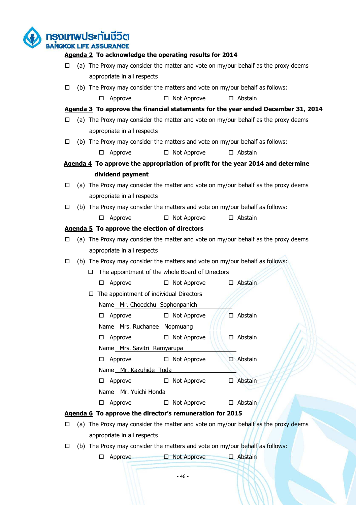ารงเทพประกันชีวิต **BANGKOK LIFE ASSURANCE Agenda 2 To acknowledge the operating results for 2014**  $\Box$  (a) The Proxy may consider the matter and vote on my/our behalf as the proxy deems appropriate in all respects  $\Box$  (b) The Proxy may consider the matters and vote on my/our behalf as follows:  $\Box$  Approve  $\Box$  Not Approve  $\Box$  Abstain **Agenda 3 To approve the financial statements for the year ended December 31, 2014**  $\Box$  (a) The Proxy may consider the matter and vote on my/our behalf as the proxy deems appropriate in all respects  $\Box$  (b) The Proxy may consider the matters and vote on my/our behalf as follows:  $\Box$  Approve  $\Box$  Not Approve  $\Box$  Abstain **Agenda 4 To approve the appropriation of profit for the year 2014 and determine dividend payment**   $\Box$  (a) The Proxy may consider the matter and vote on my/our behalf as the proxy deems appropriate in all respects  $\Box$  (b) The Proxy may consider the matters and vote on my/our behalf as follows:  $\Box$  Approve  $\Box$  Not Approve  $\Box$  Abstain **Agenda 5 To approve the election of directors**   $\Box$  (a) The Proxy may consider the matter and vote on my/our behalf as the proxy deems appropriate in all respects  $\Box$  (b) The Proxy may consider the matters and vote on my/our behalf as follows:  $\Box$  The appointment of the whole Board of Directors  $\Box$  Approve  $\Box$  Not Approve  $\Box$  Abstain  $\Box$  The appointment of individual Directors Name Mr. Choedchu Sophonpanich  $\Box$  Approve  $\Box$  Not Approve  $\Box$  Abstain Name Mrs. Ruchanee Nopmuang

 $\Box$  Approve  $\Box$  Not Approve  $\Box$  Abstain Name Mrs. Savitri Ramyarupa  $\Box$  Approve  $\Box$  Not Approve  $\Box$  Abstain Name Mr. Kazuhide Toda  $\Box$  Approve  $\Box$  Not Approve  $\Box$  Abstain Name Mr. Yuichi Honda

 $\Box$  Approve  $\Box$  Not Approve  $\Box$  Abstain

**Agenda 6 To approve the director's remuneration for 2015** 

- $\Box$  (a) The Proxy may consider the matter and vote on my/our behalf as the proxy deems appropriate in all respects
- $\Box$  (b) The Proxy may consider the matters and vote on my/our behalf as follows:

 $\Box$  Approve  $\Box$  Not Approve  $\Box$  Abstain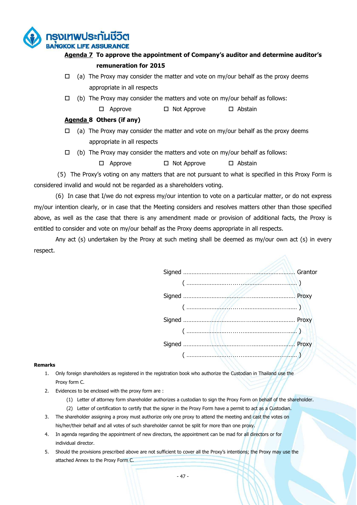

## **Agenda 7 To approve the appointment of Company's auditor and determine auditor's remuneration for 2015**

- $\Box$  (a) The Proxy may consider the matter and vote on my/our behalf as the proxy deems appropriate in all respects
- $\Box$  (b) The Proxy may consider the matters and vote on my/our behalf as follows:
	- $\Box$  Approve  $\Box$  Not Approve  $\Box$  Abstain

#### **Agenda 8 Others (if any)**

- $\Box$  (a) The Proxy may consider the matter and vote on my/our behalf as the proxy deems appropriate in all respects
- $\Box$  (b) The Proxy may consider the matters and vote on my/our behalf as follows:

 $\Box$  Approve  $\Box$  Not Approve  $\Box$  Abstain

 (5) The Proxy's voting on any matters that are not pursuant to what is specified in this Proxy Form is considered invalid and would not be regarded as a shareholders voting.

 (6) In case that I/we do not express my/our intention to vote on a particular matter, or do not express my/our intention clearly, or in case that the Meeting considers and resolves matters other than those specified above, as well as the case that there is any amendment made or provision of additional facts, the Proxy is entitled to consider and vote on my/our behalf as the Proxy deems appropriate in all respects.

 Any act (s) undertaken by the Proxy at such meting shall be deemed as my/our own act (s) in every respect.

| $\frac{1}{2}$ |  |
|---------------|--|
|               |  |
|               |  |
|               |  |
|               |  |
|               |  |
|               |  |
|               |  |

#### **Remarks**

- 1. Only foreign shareholders as registered in the registration book who authorize the Custodian in Thailand use the Proxy form C.
- 2. Evidences to be enclosed with the proxy form are :
	- (1) Letter of attorney form shareholder authorizes a custodian to sign the Proxy Form on behalf of the shareholder.
	- (2) Letter of certification to certify that the signer in the Proxy Form have a permit to act as a Custodian.
- 3. The shareholder assigning a proxy must authorize only one proxy to attend the meeting and cast the votes on his/her/their behalf and all votes of such shareholder cannot be split for more than one proxy.
- 4. In agenda regarding the appointment of new directors, the appointment can be mad for all directors or for individual director.
- 5. Should the provisions prescribed above are not sufficient to cover all the Proxy's intentions; the Proxy may use the attached Annex to the Proxy Form C.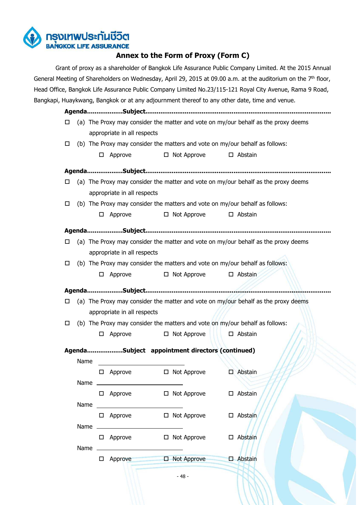

## **Annex to the Form of Proxy (Form C)**

 Grant of proxy as a shareholder of Bangkok Life Assurance Public Company Limited. At the 2015 Annual General Meeting of Shareholders on Wednesday, April 29, 2015 at 09.00 a.m. at the auditorium on the 7<sup>th</sup> floor, Head Office, Bangkok Life Assurance Public Company Limited No.23/115-121 Royal City Avenue, Rama 9 Road, Bangkapi, Huaykwang, Bangkok or at any adjournment thereof to any other date, time and venue.

**Agenda...................Subject...................................................................................................**   $\Box$  (a) The Proxy may consider the matter and vote on my/our behalf as the proxy deems appropriate in all respects  $\Box$  (b) The Proxy may consider the matters and vote on my/our behalf as follows:

 $\Box$  Approve  $\Box$  Not Approve  $\Box$  Abstain

| □ |                                                                                    |                                                                              |                                                                              |  | (a) The Proxy may consider the matter and vote on my/our behalf as the proxy deems |  |  |  |  |
|---|------------------------------------------------------------------------------------|------------------------------------------------------------------------------|------------------------------------------------------------------------------|--|------------------------------------------------------------------------------------|--|--|--|--|
|   |                                                                                    | appropriate in all respects                                                  |                                                                              |  |                                                                                    |  |  |  |  |
| □ | (b) The Proxy may consider the matters and vote on my/our behalf as follows:       |                                                                              |                                                                              |  |                                                                                    |  |  |  |  |
|   | 0                                                                                  | Approve                                                                      | $\Box$ Not Approve                                                           |  | $\square$ Abstain                                                                  |  |  |  |  |
|   |                                                                                    |                                                                              |                                                                              |  |                                                                                    |  |  |  |  |
| □ |                                                                                    |                                                                              |                                                                              |  | (a) The Proxy may consider the matter and vote on my/our behalf as the proxy deems |  |  |  |  |
|   |                                                                                    | appropriate in all respects                                                  |                                                                              |  |                                                                                    |  |  |  |  |
| □ |                                                                                    |                                                                              | (b) The Proxy may consider the matters and vote on my/our behalf as follows: |  |                                                                                    |  |  |  |  |
|   | □                                                                                  | Approve                                                                      | $\Box$ Not Approve                                                           |  | □ Abstain                                                                          |  |  |  |  |
|   |                                                                                    |                                                                              |                                                                              |  |                                                                                    |  |  |  |  |
| □ | (a) The Proxy may consider the matter and vote on my/our behalf as the proxy deems |                                                                              |                                                                              |  |                                                                                    |  |  |  |  |
|   |                                                                                    | appropriate in all respects                                                  |                                                                              |  |                                                                                    |  |  |  |  |
| □ |                                                                                    | (b) The Proxy may consider the matters and vote on my/our behalf as follows: |                                                                              |  |                                                                                    |  |  |  |  |
|   | □                                                                                  | Approve                                                                      | $\Box$ Not Approve                                                           |  | $\Box$ Abstain                                                                     |  |  |  |  |

**Agenda...................Subject appointment directors (continued)** 

| Name |   |         |                    |               |         |
|------|---|---------|--------------------|---------------|---------|
|      | ⊔ | Approve | □ Not Approve      | $\mathcal{N}$ | Abstain |
| Name |   |         |                    |               |         |
|      | □ | Approve | □ Not Approve      |               | Abstain |
| Name |   |         |                    |               |         |
|      | □ | Approve | □ Not Approve      | □             | Abstain |
| Name |   |         |                    |               |         |
|      | □ | Approve | $\Box$ Not Approve | □             | Abstain |
| Name |   |         |                    |               |         |
|      |   | Approve | □ Not Approve      | ×.            | Abstain |